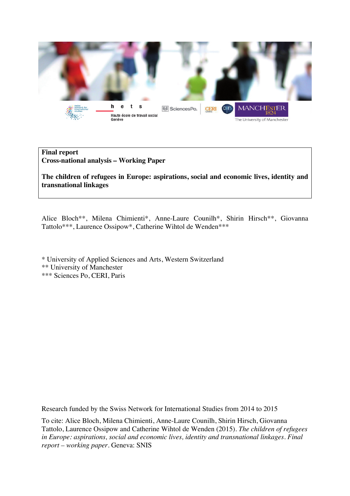

**Final report Cross-national analysis – Working Paper**

**The children of refugees in Europe: aspirations, social and economic lives, identity and transnational linkages** 

Alice Bloch\*\*, Milena Chimienti\*, Anne-Laure Counilh\*, Shirin Hirsch\*\*, Giovanna Tattolo\*\*\*, Laurence Ossipow\*, Catherine Wihtol de Wenden\*\*\*

\* University of Applied Sciences and Arts, Western Switzerland \*\* University of Manchester \*\*\* Sciences Po, CERI, Paris

Research funded by the Swiss Network for International Studies from 2014 to 2015

To cite: Alice Bloch, Milena Chimienti, Anne-Laure Counilh, Shirin Hirsch, Giovanna Tattolo, Laurence Ossipow and Catherine Wihtol de Wenden (2015). *The children of refugees in Europe: aspirations, social and economic lives, identity and transnational linkages. Final report – working paper*. Geneva: SNIS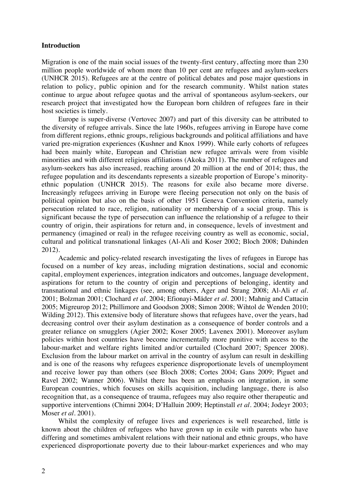### **Introduction**

Migration is one of the main social issues of the twenty-first century, affecting more than 230 million people worldwide of whom more than 10 per cent are refugees and asylum-seekers (UNHCR 2015). Refugees are at the centre of political debates and pose major questions in relation to policy, public opinion and for the research community. Whilst nation states continue to argue about refugee quotas and the arrival of spontaneous asylum-seekers, our research project that investigated how the European born children of refugees fare in their host societies is timely.

Europe is super-diverse (Vertovec 2007) and part of this diversity can be attributed to the diversity of refugee arrivals. Since the late 1960s, refugees arriving in Europe have come from different regions, ethnic groups, religious backgrounds and political affiliations and have varied pre-migration experiences (Kushner and Knox 1999). While early cohorts of refugees had been mainly white, European and Christian new refugee arrivals were from visible minorities and with different religious affiliations (Akoka 2011). The number of refugees and asylum-seekers has also increased, reaching around 20 million at the end of 2014; thus, the refugee population and its descendants represents a sizeable proportion of Europe's minorityethnic population (UNHCR 2015). The reasons for exile also became more diverse. Increasingly refugees arriving in Europe were fleeing persecution not only on the basis of political opinion but also on the basis of other 1951 Geneva Convention criteria, namely persecution related to race, religion, nationality or membership of a social group. This is significant because the type of persecution can influence the relationship of a refugee to their country of origin, their aspirations for return and, in consequence, levels of investment and permanency (imagined or real) in the refugee receiving country as well as economic, social, cultural and political transnational linkages (Al-Ali and Koser 2002; Bloch 2008; Dahinden 2012).

Academic and policy-related research investigating the lives of refugees in Europe has focused on a number of key areas, including migration destinations, social and economic capital, employment experiences, integration indicators and outcomes, language development, aspirations for return to the country of origin and perceptions of belonging, identity and transnational and ethnic linkages (see, among others, Ager and Strang 2008; Al-Ali *et al*. 2001; Bolzman 2001; Clochard *et al*. 2004; Efionayi-Mäder *et al*. 2001; Mahnig and Cattacin 2005; Migreurop 2012; Phillimore and Goodson 2008; Simon 2008; Wihtol de Wenden 2010; Wilding 2012). This extensive body of literature shows that refugees have, over the years, had decreasing control over their asylum destination as a consequence of border controls and a greater reliance on smugglers (Agier 2002; Koser 2005; Lavenex 2001). Moreover asylum policies within host countries have become incrementally more punitive with access to the labour-market and welfare rights limited and/or curtailed (Clochard 2007; Spencer 2008). Exclusion from the labour market on arrival in the country of asylum can result in deskilling and is one of the reasons why refugees experience disproportionate levels of unemployment and receive lower pay than others (see Bloch 2008; Cortes 2004; Gans 2009; Piguet and Ravel 2002; Wanner 2006). Whilst there has been an emphasis on integration, in some European countries, which focuses on skills acquisition, including language, there is also recognition that, as a consequence of trauma, refugees may also require other therapeutic and supportive interventions (Chimni 2004; D'Halluin 2009; Heptinstall *et al.* 2004; Jodeyr 2003; Moser *et al*. 2001).

Whilst the complexity of refugee lives and experiences is well researched, little is known about the children of refugees who have grown up in exile with parents who have differing and sometimes ambivalent relations with their national and ethnic groups, who have experienced disproportionate poverty due to their labour-market experiences and who may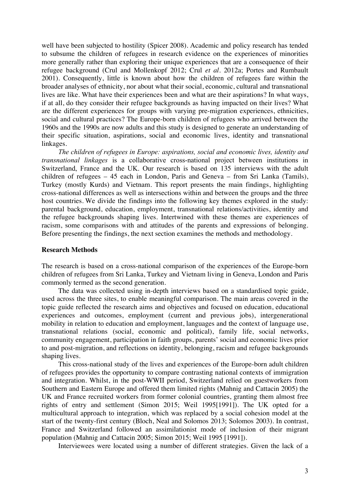well have been subjected to hostility (Spicer 2008). Academic and policy research has tended to subsume the children of refugees in research evidence on the experiences of minorities more generally rather than exploring their unique experiences that are a consequence of their refugee background (Crul and Mollenkopf 2012; Crul *et al*. 2012a; Portes and Rumbault 2001). Consequently, little is known about how the children of refugees fare within the broader analyses of ethnicity, nor about what their social, economic, cultural and transnational lives are like. What have their experiences been and what are their aspirations? In what ways, if at all, do they consider their refugee backgrounds as having impacted on their lives? What are the different experiences for groups with varying pre-migration experiences, ethnicities, social and cultural practices? The Europe-born children of refugees who arrived between the 1960s and the 1990s are now adults and this study is designed to generate an understanding of their specific situation, aspirations, social and economic lives, identity and transnational linkages.

*The children of refugees in Europe: aspirations, social and economic lives, identity and transnational linkages* is a collaborative cross-national project between institutions in Switzerland, France and the UK. Our research is based on 135 interviews with the adult children of refugees – 45 each in London, Paris and Geneva – from Sri Lanka (Tamils), Turkey (mostly Kurds) and Vietnam. This report presents the main findings, highlighting cross-national differences as well as intersections within and between the groups and the three host countries. We divide the findings into the following key themes explored in the study: parental background, education, employment, transnational relations/activities, identity and the refugee backgrounds shaping lives. Intertwined with these themes are experiences of racism, some comparisons with and attitudes of the parents and expressions of belonging. Before presenting the findings, the next section examines the methods and methodology.

#### **Research Methods**

The research is based on a cross-national comparison of the experiences of the Europe-born children of refugees from Sri Lanka, Turkey and Vietnam living in Geneva, London and Paris commonly termed as the second generation.

The data was collected using in-depth interviews based on a standardised topic guide, used across the three sites, to enable meaningful comparison. The main areas covered in the topic guide reflected the research aims and objectives and focused on education, educational experiences and outcomes, employment (current and previous jobs), intergenerational mobility in relation to education and employment, languages and the context of language use, transnational relations (social, economic and political), family life, social networks, community engagement, participation in faith groups, parents' social and economic lives prior to and post-migration, and reflections on identity, belonging, racism and refugee backgrounds shaping lives.

This cross-national study of the lives and experiences of the Europe-born adult children of refugees provides the opportunity to compare contrasting national contexts of immigration and integration. Whilst, in the post-WWII period, Switzerland relied on guestworkers from Southern and Eastern Europe and offered them limited rights (Mahnig and Cattacin 2005) the UK and France recruited workers from former colonial countries, granting them almost free rights of entry and settlement (Simon 2015; Weil 1995[1991]). The UK opted for a multicultural approach to integration, which was replaced by a social cohesion model at the start of the twenty-first century (Bloch, Neal and Solomos 2013; Solomos 2003). In contrast, France and Switzerland followed an assimilationist mode of inclusion of their migrant population (Mahnig and Cattacin 2005; Simon 2015; Weil 1995 [1991]).

Interviewees were located using a number of different strategies. Given the lack of a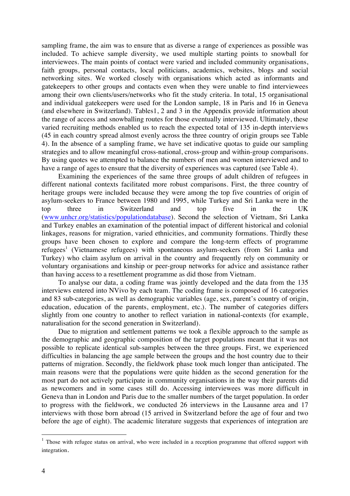sampling frame, the aim was to ensure that as diverse a range of experiences as possible was included. To achieve sample diversity, we used multiple starting points to snowball for interviewees. The main points of contact were varied and included community organisations, faith groups, personal contacts, local politicians, academics, websites, blogs and social networking sites. We worked closely with organisations which acted as informants and gatekeepers to other groups and contacts even when they were unable to find interviewees among their own clients/users/networks who fit the study criteria. In total, 15 organisational and individual gatekeepers were used for the London sample, 18 in Paris and 16 in Geneva (and elsewhere in Switzerland). Tables1, 2 and 3 in the Appendix provide information about the range of access and snowballing routes for those eventually interviewed. Ultimately, these varied recruiting methods enabled us to reach the expected total of 135 in-depth interviews (45 in each country spread almost evenly across the three country of origin groups see Table 4). In the absence of a sampling frame, we have set indicative quotas to guide our sampling strategies and to allow meaningful cross-national, cross-group and within-group comparisons. By using quotes we attempted to balance the numbers of men and women interviewed and to have a range of ages to ensure that the diversity of experiences was captured (see Table 4).

Examining the experiences of the same three groups of adult children of refugees in different national contexts facilitated more robust comparisons. First, the three country of heritage groups were included because they were among the top five countries of origin of asylum-seekers to France between 1980 and 1995, while Turkey and Sri Lanka were in the top three in Switzerland and top five in the UK (www.unhcr.org/statistics/populationdatabase). Second the selection of Vietnam, Sri Lanka and Turkey enables an examination of the potential impact of different historical and colonial linkages, reasons for migration, varied ethnicities, and community formations. Thirdly these groups have been chosen to explore and compare the long-term effects of programme refugees<sup>1</sup> (Vietnamese refugees) with spontaneous asylum-seekers (from Sri Lanka and Turkey) who claim asylum on arrival in the country and frequently rely on community or voluntary organisations and kinship or peer-group networks for advice and assistance rather than having access to a resettlement programme as did those from Vietnam.

To analyse our data, a coding frame was jointly developed and the data from the 135 interviews entered into NVivo by each team. The coding frame is composed of 16 categories and 83 sub-categories, as well as demographic variables (age, sex, parent's country of origin, education, education of the parents, employment, etc.). The number of categories differs slightly from one country to another to reflect variation in national-contexts (for example, naturalisation for the second generation in Switzerland).

Due to migration and settlement patterns we took a flexible approach to the sample as the demographic and geographic composition of the target populations meant that it was not possible to replicate identical sub-samples between the three groups. First, we experienced difficulties in balancing the age sample between the groups and the host country due to their patterns of migration. Secondly, the fieldwork phase took much longer than anticipated. The main reasons were that the populations were quite hidden as the second generation for the most part do not actively participate in community organisations in the way their parents did as newcomers and in some cases still do. Accessing interviewees was more difficult in Geneva than in London and Paris due to the smaller numbers of the target population. In order to progress with the fieldwork, we conducted 26 interviews in the Lausanne area and 17 interviews with those born abroad (15 arrived in Switzerland before the age of four and two before the age of eight). The academic literature suggests that experiences of integration are

 $\overline{a}$ 

 $1$  Those with refugee status on arrival, who were included in a reception programme that offered support with integration.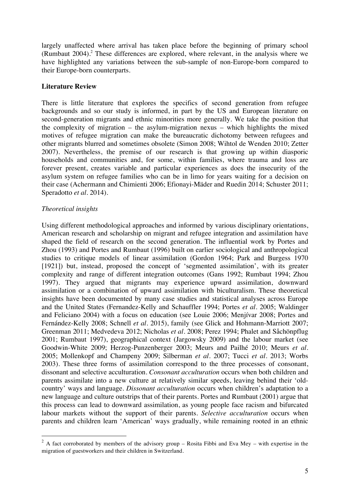largely unaffected where arrival has taken place before the beginning of primary school (Rumbaut  $2004$ ).<sup>2</sup> These differences are explored, where relevant, in the analysis where we have highlighted any variations between the sub-sample of non-Europe-born compared to their Europe-born counterparts.

# **Literature Review**

There is little literature that explores the specifics of second generation from refugee backgrounds and so our study is informed, in part by the US and European literature on second-generation migrants and ethnic minorities more generally. We take the position that the complexity of migration – the asylum-migration nexus – which highlights the mixed motives of refugee migration can make the bureaucratic dichotomy between refugees and other migrants blurred and sometimes obsolete (Simon 2008; Wihtol de Wenden 2010; Zetter 2007). Nevertheless, the premise of our research is that growing up within diasporic households and communities and, for some, within families, where trauma and loss are forever present, creates variable and particular experiences as does the insecurity of the asylum system on refugee families who can be in limo for years waiting for a decision on their case (Achermann and Chimienti 2006; Efionayi-Mäder and Ruedin 2014; Schuster 2011; Speradotto *et al.* 2014).

# *Theoretical insights*

 $\overline{a}$ 

Using different methodological approaches and informed by various disciplinary orientations, American research and scholarship on migrant and refugee integration and assimilation have shaped the field of research on the second generation. The influential work by Portes and Zhou (1993) and Portes and Rumbaut (1996) built on earlier sociological and anthropological studies to critique models of linear assimilation (Gordon 1964; Park and Burgess 1970 [1921]) but, instead, proposed the concept of 'segmented assimilation', with its greater complexity and range of different integration outcomes (Gans 1992; Rumbaut 1994; Zhou 1997). They argued that migrants may experience upward assimilation, downward assimilation or a combination of upward assimilation with biculturalism. These theoretical insights have been documented by many case studies and statistical analyses across Europe and the United States (Fernandez-Kelly and Schauffler 1994; Portes *et al*. 2005; Waldinger and Feliciano 2004) with a focus on education (see Louie 2006; Menjívar 2008; Portes and Fernández-Kelly 2008; Schnell *et al.* 2015), family (see Glick and Hohmann-Marriott 2007; Greenman 2011; Medvedeva 2012; Nicholas *et al*. 2008; Perez 1994; Phalet and Såchönpflug 2001; Rumbaut 1997), geographical context (Jargowsky 2009) and the labour market (see Goodwin-White 2009; Herzog-Punzenberger 2003; Meurs and Pailhé 2010; Meurs *et al*. 2005; Mollenkopf and Champeny 2009; Silberman *et al*. 2007; Tucci *et al*. 2013; Worbs 2003). These three forms of assimilation correspond to the three processes of consonant, dissonant and selective acculturation. *Consonant acculturation* occurs when both children and parents assimilate into a new culture at relatively similar speeds, leaving behind their 'oldcountry' ways and language. *Dissonant acculturation* occurs when children's adaptation to a new language and culture outstrips that of their parents. Portes and Rumbaut (2001) argue that this process can lead to downward assimilation, as young people face racism and bifurcated labour markets without the support of their parents. *Selective acculturation* occurs when parents and children learn 'American' ways gradually, while remaining rooted in an ethnic

<sup>&</sup>lt;sup>2</sup> A fact corroborated by members of the advisory group – Rosita Fibbi and Eva Mey – with expertise in the migration of guestworkers and their children in Switzerland.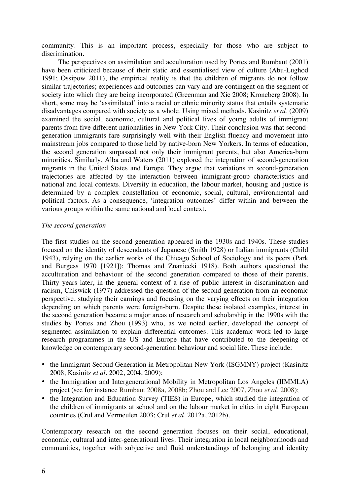community. This is an important process, especially for those who are subject to discrimination.

The perspectives on assimilation and acculturation used by Portes and Rumbaut (2001) have been criticized because of their static and essentialised view of culture (Abu-Lughod 1991; Ossipow 2011), the empirical reality is that the children of migrants do not follow similar trajectories; experiences and outcomes can vary and are contingent on the segment of society into which they are being incorporated (Greenman and Xie 2008; Kroneberg 2008). In short, some may be 'assimilated' into a racial or ethnic minority status that entails systematic disadvantages compared with society as a whole. Using mixed methods, Kasinitz *et al*. (2009) examined the social, economic, cultural and political lives of young adults of immigrant parents from five different nationalities in New York City. Their conclusion was that secondgeneration immigrants fare surprisingly well with their English fluency and movement into mainstream jobs compared to those held by native-born New Yorkers. In terms of education, the second generation surpassed not only their immigrant parents, but also America-born minorities. Similarly, Alba and Waters (2011) explored the integration of second-generation migrants in the United States and Europe. They argue that variations in second-generation trajectories are affected by the interaction between immigrant-group characteristics and national and local contexts. Diversity in education, the labour market, housing and justice is determined by a complex constellation of economic, social, cultural, environmental and political factors. As a consequence, 'integration outcomes' differ within and between the various groups within the same national and local context.

### *The second generation*

The first studies on the second generation appeared in the 1930s and 1940s. These studies focused on the identity of descendants of Japanese (Smith 1928) or Italian immigrants (Child 1943), relying on the earlier works of the Chicago School of Sociology and its peers (Park and Burgess 1970 [1921]); Thomas and Znaniecki 1918). Both authors questioned the acculturation and behaviour of the second generation compared to those of their parents. Thirty years later, in the general context of a rise of public interest in discrimination and racism, Chiswick (1977) addressed the question of the second generation from an economic perspective, studying their earnings and focusing on the varying effects on their integration depending on which parents were foreign-born. Despite these isolated examples, interest in the second generation became a major areas of research and scholarship in the 1990s with the studies by Portes and Zhou (1993) who, as we noted earlier, developed the concept of segmented assimilation to explain differential outcomes. This academic work led to large research programmes in the US and Europe that have contributed to the deepening of knowledge on contemporary second-generation behaviour and social life. These include:

- the Immigrant Second Generation in Metropolitan New York (ISGMNY) project (Kasinitz 2008; Kasinitz *et al*. 2002, 2004, 2009);
- the Immigration and Intergenerational Mobility in Metropolitan Los Angeles (IIMMLA) project (see for instance Rumbaut 2008a, 2008b; Zhou and Lee 2007, Zhou *et al*. 2008);
- the Integration and Education Survey (TIES) in Europe, which studied the integration of the children of immigrants at school and on the labour market in cities in eight European countries (Crul and Vermeulen 2003; Crul *et al.* 2012a, 2012b).

Contemporary research on the second generation focuses on their social, educational, economic, cultural and inter-generational lives. Their integration in local neighbourhoods and communities, together with subjective and fluid understandings of belonging and identity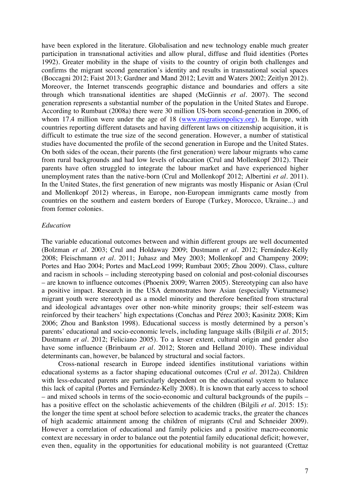have been explored in the literature. Globalisation and new technology enable much greater participation in transnational activities and allow plural, diffuse and fluid identities (Portes 1992). Greater mobility in the shape of visits to the country of origin both challenges and confirms the migrant second generation's identity and results in transnational social spaces (Boccagni 2012; Faist 2013; Gardner and Mand 2012; Levitt and Waters 2002; Zeitlyn 2012). Moreover, the Internet transcends geographic distance and boundaries and offers a site through which transnational identities are shaped (McGinnis *et al*. 2007). The second generation represents a substantial number of the population in the United States and Europe. According to Rumbaut (2008a) there were 30 million US-born second-generation in 2006, of whom 17.4 million were under the age of 18 (www.migrationpolicy.org). In Europe, with countries reporting different datasets and having different laws on citizenship acquisition, it is difficult to estimate the true size of the second generation. However, a number of statistical studies have documented the profile of the second generation in Europe and the United States. On both sides of the ocean, their parents (the first generation) were labour migrants who came from rural backgrounds and had low levels of education (Crul and Mollenkopf 2012). Their parents have often struggled to integrate the labour market and have experienced higher unemployment rates than the native-born (Crul and Mollenkopf 2012; Albertini *et al.* 2011). In the United States, the first generation of new migrants was mostly Hispanic or Asian (Crul and Mollenkopf 2012) whereas, in Europe, non-European immigrants came mostly from countries on the southern and eastern borders of Europe (Turkey, Morocco, Ukraine...) and from former colonies.

#### *Education*

The variable educational outcomes between and within different groups are well documented (Bolzman *et al.* 2003; Crul and Holdaway 2009; Dustmann *et al*. 2012; Fernández-Kelly 2008; Fleischmann *et al.* 2011; Juhasz and Mey 2003; Mollenkopf and Champeny 2009; Portes and Hao 2004; Portes and MacLeod 1999; Rumbaut 2005; Zhou 2009). Class, culture and racism in schools – including stereotyping based on colonial and post-colonial discourses – are known to influence outcomes (Phoenix 2009; Warren 2005). Stereotyping can also have a positive impact. Research in the USA demonstrates how Asian (especially Vietnamese) migrant youth were stereotyped as a model minority and therefore benefited from structural and ideological advantages over other non-white minority groups; their self-esteem was reinforced by their teachers' high expectations (Conchas and Pérez 2003; Kasinitz 2008; Kim 2006; Zhou and Bankston 1998). Educational success is mostly determined by a person's parents' educational and socio-economic levels, including language skills (Bilgili *et al*. 2015; Dustmann *et al*. 2012; Feliciano 2005). To a lesser extent, cultural origin and gender also have some influence (Brinbaum *et al*. 2012; Storen and Helland 2010). These individual determinants can, however, be balanced by structural and social factors.

Cross-national research in Europe indeed identifies institutional variations within educational systems as a factor shaping educational outcomes (Crul *et al.* 2012a). Children with less-educated parents are particularly dependent on the educational system to balance this lack of capital (Portes and Fernández-Kelly 2008). It is known that early access to school – and mixed schools in terms of the socio-economic and cultural backgrounds of the pupils – has a positive effect on the scholastic achievements of the children (Bilgili *et al*. 2015: 15): the longer the time spent at school before selection to academic tracks, the greater the chances of high academic attainment among the children of migrants (Crul and Schneider 2009). However a correlation of educational and family policies and a positive macro-economic context are necessary in order to balance out the potential family educational deficit; however, even then, equality in the opportunities for educational mobility is not guaranteed (Crettaz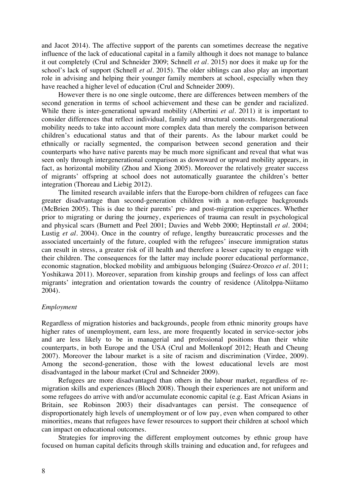and Jacot 2014). The affective support of the parents can sometimes decrease the negative influence of the lack of educational capital in a family although it does not manage to balance it out completely (Crul and Schneider 2009; Schnell *et al*. 2015) nor does it make up for the school's lack of support (Schnell *et al.* 2015). The older siblings can also play an important role in advising and helping their younger family members at school, especially when they have reached a higher level of education (Crul and Schneider 2009).

However there is no one single outcome, there are differences between members of the second generation in terms of school achievement and these can be gender and racialized. While there is inter-generational upward mobility (Albertini *et al.* 2011) it is important to consider differences that reflect individual, family and structural contexts. Intergenerational mobility needs to take into account more complex data than merely the comparison between children's educational status and that of their parents. As the labour market could be ethnically or racially segmented, the comparison between second generation and their counterparts who have native parents may be much more significant and reveal that what was seen only through intergenerational comparison as downward or upward mobility appears, in fact, as horizontal mobility (Zhou and Xiong 2005). Moreover the relatively greater success of migrants' offspring at school does not automatically guarantee the children's better integration (Thoreau and Liebig 2012).

The limited research available infers that the Europe-born children of refugees can face greater disadvantage than second-generation children with a non-refugee backgrounds (McBrien 2005). This is due to their parents' pre- and post-migration experiences. Whether prior to migrating or during the journey, experiences of trauma can result in psychological and physical scars (Burnett and Peel 2001; Davies and Webb 2000; Heptinstall *et al*. 2004; Lustig *et al*. 2004). Once in the country of refuge, lengthy bureaucratic processes and the associated uncertainly of the future, coupled with the refugees' insecure immigration status can result in stress, a greater risk of ill health and therefore a lesser capacity to engage with their children. The consequences for the latter may include poorer educational performance, economic stagnation, blocked mobility and ambiguous belonging (Suárez-Orozco *et al*. 2011; Yoshikawa 2011). Moreover, separation from kinship groups and feelings of loss can affect migrants' integration and orientation towards the country of residence (Alitolppa-Niitamo 2004).

### *Employment*

Regardless of migration histories and backgrounds, people from ethnic minority groups have higher rates of unemployment, earn less, are more frequently located in service-sector jobs and are less likely to be in managerial and professional positions than their white counterparts, in both Europe and the USA (Crul and Mollenkopf 2012; Heath and Cheung 2007). Moreover the labour market is a site of racism and discrimination (Virdee, 2009). Among the second-generation, those with the lowest educational levels are most disadvantaged in the labour market (Crul and Schneider 2009).

Refugees are more disadvantaged than others in the labour market, regardless of remigration skills and experiences (Bloch 2008). Though their experiences are not uniform and some refugees do arrive with and/or accumulate economic capital (e.g. East African Asians in Britain, see Robinson 2003) their disadvantages can persist. The consequence of disproportionately high levels of unemployment or of low pay, even when compared to other minorities, means that refugees have fewer resources to support their children at school which can impact on educational outcomes.

Strategies for improving the different employment outcomes by ethnic group have focused on human capital deficits through skills training and education and, for refugees and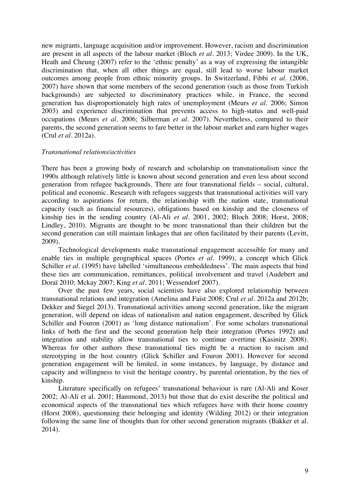new migrants, language acquisition and/or improvement. However, racism and discrimination are present in all aspects of the labour market (Bloch *et al*. 2013; Virdee 2009). In the UK, Heath and Cheung (2007) refer to the 'ethnic penalty' as a way of expressing the intangible discrimination that, when all other things are equal, still lead to worse labour market outcomes among people from ethnic minority groups. In Switzerland, Fibbi *et al*. (2006, 2007) have shown that some members of the second generation (such as those from Turkish backgrounds) are subjected to discriminatory practices while, in France, the second generation has disproportionately high rates of unemployment (Meurs *et al*. 2006; Simon 2003) and experience discrimination that prevents access to high-status and well-paid occupations (Meurs *et al*. 2006; Silberman *et al*. 2007). Nevertheless, compared to their parents, the second generation seems to fare better in the labour market and earn higher wages (Crul *et al*. 2012a).

### *Transnational relations/activities*

There has been a growing body of research and scholarship on transnationalism since the 1990s although relatively little is known about second generation and even less about second generation from refugee backgrounds. There are four transnational fields – social, cultural, political and economic. Research with refugees suggests that transnational activities will vary according to aspirations for return, the relationship with the nation state, transnational capacity (such as financial resources), obligations based on kinship and the closeness of kinship ties in the sending country (Al-Ali *et al*. 2001, 2002; Bloch 2008; Horst, 2008; Lindley, 2010). Migrants are thought to be more transnational than their children but the second generation can still maintain linkages that are often facilitated by their parents (Levitt, 2009).

Technological developments make transnational engagement accessible for many and enable ties in multiple geographical spaces (Portes *et al*. 1999), a concept which Glick Schiller *et al.* (1995) have labelled 'simultaneous embeddedness'. The main aspects that bind these ties are communication, remittances, political involvement and travel (Audebert and Doraï 2010; Mckay 2007; King *et al*. 2011; Wessendorf 2007).

Over the past few years, social scientists have also explored relationship between transnational relations and integration (Amelina and Faist 2008; Crul *et al*. 2012a and 2012b; Dekker and Siegel 2013). Transnational activities among second generation, like the migrant generation, will depend on ideas of nationalism and nation engagement, described by Glick Schiller and Fouron (2001) as 'long distance nationalism'. For some scholars transnational links of both the first and the second generation help their integration (Portes 1992) and integration and stability allow transnational ties to continue overtime (Kasinitz 2008). Whereas for other authors these transnational ties might be a reaction to racism and stereotyping in the host country (Glick Schiller and Fouron 2001). However for second generation engagement will be limited, in some instances, by language, by distance and capacity and willingness to visit the heritage country, by parental orientation, by the ties of kinship.

Literature specifically on refugees' transnational behaviour is rare (Al-Ali and Koser 2002; Al-Ali et al. 2001; Hammond, 2013) but those that do exist describe the political and economical aspects of the transnational ties which refugees have with their home country (Horst 2008), questionning their belonging and identity (Wilding 2012) or their integration following the same line of thoughts than for other second generation migrants (Bakker et al. 2014).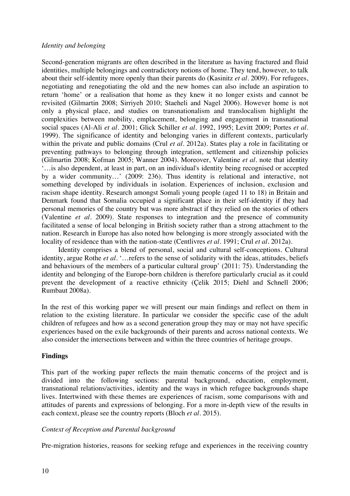# *Identity and belonging*

Second-generation migrants are often described in the literature as having fractured and fluid identities, multiple belongings and contradictory notions of home. They tend, however, to talk about their self-identity more openly than their parents do (Kasinitz *et al*. 2009). For refugees, negotiating and renegotiating the old and the new homes can also include an aspiration to return 'home' or a realisation that home as they knew it no longer exists and cannot be revisited (Gilmartin 2008; Sirriyeh 2010; Staeheli and Nagel 2006). However home is not only a physical place, and studies on transnationalism and translocalism highlight the complexities between mobility, emplacement, belonging and engagement in transnational social spaces (Al-Ali *et al*. 2001; Glick Schiller *et al*. 1992, 1995; Levitt 2009; Portes *et al.* 1999). The significance of identity and belonging varies in different contexts, particularly within the private and public domains (Crul *et al*. 2012a). States play a role in facilitating or preventing pathways to belonging through integration, settlement and citizenship policies (Gilmartin 2008; Kofman 2005; Wanner 2004). Moreover, Valentine *et al*. note that identity '…is also dependent, at least in part, on an individual's identity being recognised or accepted by a wider community…' (2009: 236). Thus identity is relational and interactive, not something developed by individuals in isolation. Experiences of inclusion, exclusion and racism shape identity. Research amongst Somali young people (aged 11 to 18) in Britain and Denmark found that Somalia occupied a significant place in their self-identity if they had personal memories of the country but was more abstract if they relied on the stories of others (Valentine *et al*. 2009). State responses to integration and the presence of community facilitated a sense of local belonging in British society rather than a strong attachment to the nation. Research in Europe has also noted how belonging is more strongly associated with the locality of residence than with the nation-state (Centlivres *et al.* 1991; Crul *et al*. 2012a).

Identity comprises a blend of personal, social and cultural self-conceptions. Cultural identity, argue Rothe *et al*. '…refers to the sense of solidarity with the ideas, attitudes, beliefs and behaviours of the members of a particular cultural group' (2011: 75). Understanding the identity and belonging of the Europe-born children is therefore particularly crucial as it could prevent the development of a reactive ethnicity (Çelik 2015; Diehl and Schnell 2006; Rumbaut 2008a).

In the rest of this working paper we will present our main findings and reflect on them in relation to the existing literature. In particular we consider the specific case of the adult children of refugees and how as a second generation group they may or may not have specific experiences based on the exile backgrounds of their parents and across national contexts. We also consider the intersections between and within the three countries of heritage groups.

# **Findings**

This part of the working paper reflects the main thematic concerns of the project and is divided into the following sections: parental background, education, employment, transnational relations/activities, identity and the ways in which refugee backgrounds shape lives. Intertwined with these themes are experiences of racism, some comparisons with and attitudes of parents and expressions of belonging. For a more in-depth view of the results in each context, please see the country reports (Bloch *et al.* 2015).

# *Context of Reception and Parental background*

Pre-migration histories, reasons for seeking refuge and experiences in the receiving country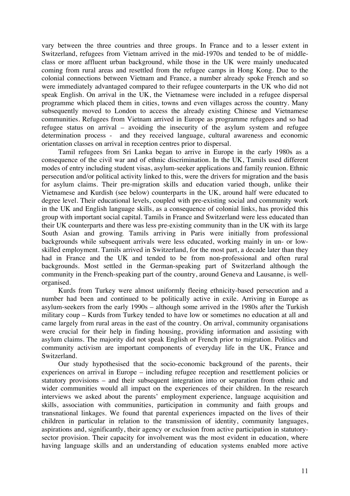vary between the three countries and three groups. In France and to a lesser extent in Switzerland, refugees from Vietnam arrived in the mid-1970s and tended to be of middleclass or more affluent urban background, while those in the UK were mainly uneducated coming from rural areas and resettled from the refugee camps in Hong Kong. Due to the colonial connections between Vietnam and France, a number already spoke French and so were immediately advantaged compared to their refugee counterparts in the UK who did not speak English. On arrival in the UK, the Vietnamese were included in a refugee dispersal programme which placed them in cities, towns and even villages across the country. Many subsequently moved to London to access the already existing Chinese and Vietnamese communities. Refugees from Vietnam arrived in Europe as programme refugees and so had refugee status on arrival – avoiding the insecurity of the asylum system and refugee determination process - and they received language, cultural awareness and economic orientation classes on arrival in reception centres prior to dispersal.

Tamil refugees from Sri Lanka began to arrive in Europe in the early 1980s as a consequence of the civil war and of ethnic discrimination. In the UK, Tamils used different modes of entry including student visas, asylum-seeker applications and family reunion. Ethnic persecution and/or political activity linked to this, were the drivers for migration and the basis for asylum claims. Their pre-migration skills and education varied though, unlike their Vietnamese and Kurdish (see below) counterparts in the UK, around half were educated to degree level. Their educational levels, coupled with pre-existing social and community work in the UK and English language skills, as a consequence of colonial links, has provided this group with important social capital. Tamils in France and Switzerland were less educated than their UK counterparts and there was less pre-existing community than in the UK with its large South Asian and growing. Tamils arriving in Paris were initially from professional backgrounds while subsequent arrivals were less educated, working mainly in un- or lowskilled employment. Tamils arrived in Switzerland, for the most part, a decade later than they had in France and the UK and tended to be from non-professional and often rural backgrounds. Most settled in the German-speaking part of Switzerland although the community in the French-speaking part of the country, around Geneva and Lausanne, is wellorganised.

Kurds from Turkey were almost uniformly fleeing ethnicity-based persecution and a number had been and continued to be politically active in exile. Arriving in Europe as asylum-seekers from the early 1990s – although some arrived in the 1980s after the Turkish military coup – Kurds from Turkey tended to have low or sometimes no education at all and came largely from rural areas in the east of the country. On arrival, community organisations were crucial for their help in finding housing, providing information and assisting with asylum claims. The majority did not speak English or French prior to migration. Politics and community activism are important components of everyday life in the UK, France and Switzerland.

Our study hypothesised that the socio-economic background of the parents, their experiences on arrival in Europe – including refugee reception and resettlement policies or statutory provisions – and their subsequent integration into or separation from ethnic and wider communities would all impact on the experiences of their children. In the research interviews we asked about the parents' employment experience, language acquisition and skills, association with communities, participation in community and faith groups and transnational linkages. We found that parental experiences impacted on the lives of their children in particular in relation to the transmission of identity, community languages, aspirations and, significantly, their agency or exclusion from active participation in statutorysector provision. Their capacity for involvement was the most evident in education, where having language skills and an understanding of education systems enabled more active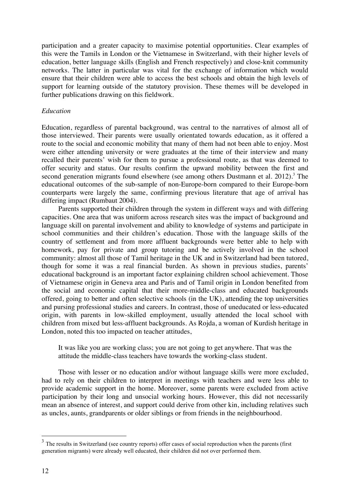participation and a greater capacity to maximise potential opportunities. Clear examples of this were the Tamils in London or the Vietnamese in Switzerland, with their higher levels of education, better language skills (English and French respectively) and close-knit community networks. The latter in particular was vital for the exchange of information which would ensure that their children were able to access the best schools and obtain the high levels of support for learning outside of the statutory provision. These themes will be developed in further publications drawing on this fieldwork.

### *Education*

Education, regardless of parental background, was central to the narratives of almost all of those interviewed. Their parents were usually orientated towards education, as it offered a route to the social and economic mobility that many of them had not been able to enjoy. Most were either attending university or were graduates at the time of their interview and many recalled their parents' wish for them to pursue a professional route, as that was deemed to offer security and status. Our results confirm the upward mobility between the first and second generation migrants found elsewhere (see among others Dustmann et al.  $2012$ ).<sup>3</sup> The educational outcomes of the sub-sample of non-Europe-born compared to their Europe-born counterparts were largely the same, confirming previous literature that age of arrival has differing impact (Rumbaut 2004).

Parents supported their children through the system in different ways and with differing capacities. One area that was uniform across research sites was the impact of background and language skill on parental involvement and ability to knowledge of systems and participate in school communities and their children's education. Those with the language skills of the country of settlement and from more affluent backgrounds were better able to help with homework, pay for private and group tutoring and be actively involved in the school community: almost all those of Tamil heritage in the UK and in Switzerland had been tutored, though for some it was a real financial burden. As shown in previous studies, parents' educational background is an important factor explaining children school achievement. Those of Vietnamese origin in Geneva area and Paris and of Tamil origin in London benefited from the social and economic capital that their more-middle-class and educated backgrounds offered, going to better and often selective schools (in the UK), attending the top universities and pursing professional studies and careers. In contrast, those of uneducated or less-educated origin, with parents in low-skilled employment, usually attended the local school with children from mixed but less-affluent backgrounds. As Rojda, a woman of Kurdish heritage in London, noted this too impacted on teacher attitudes,

It was like you are working class; you are not going to get anywhere. That was the attitude the middle-class teachers have towards the working-class student.

Those with lesser or no education and/or without language skills were more excluded, had to rely on their children to interpret in meetings with teachers and were less able to provide academic support in the home. Moreover, some parents were excluded from active participation by their long and unsocial working hours. However, this did not necessarily mean an absence of interest, and support could derive from other kin, including relatives such as uncles, aunts, grandparents or older siblings or from friends in the neighbourhood.

 <sup>3</sup> The results in Switzerland (see country reports) offer cases of social reproduction when the parents (first generation migrants) were already well educated, their children did not over performed them.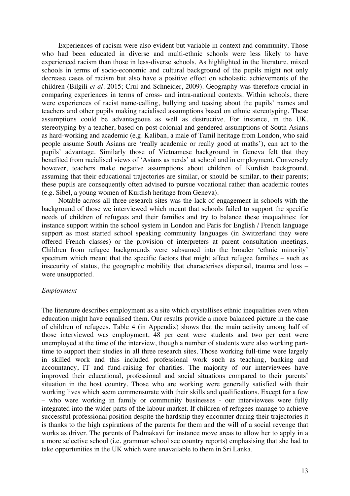Experiences of racism were also evident but variable in context and community. Those who had been educated in diverse and multi-ethnic schools were less likely to have experienced racism than those in less-diverse schools. As highlighted in the literature, mixed schools in terms of socio-economic and cultural background of the pupils might not only decrease cases of racism but also have a positive effect on scholastic achievements of the children (Bilgili *et al.* 2015; Crul and Schneider, 2009). Geography was therefore crucial in comparing experiences in terms of cross- and intra-national contexts. Within schools, there were experiences of racist name-calling, bullying and teasing about the pupils' names and teachers and other pupils making racialised assumptions based on ethnic stereotyping. These assumptions could be advantageous as well as destructive. For instance, in the UK, stereotyping by a teacher, based on post-colonial and gendered assumptions of South Asians as hard-working and academic (e.g. Kaliban, a male of Tamil heritage from London, who said people assume South Asians are 'really academic or really good at maths'), can act to the pupils' advantage. Similarly those of Vietnamese background in Geneva felt that they benefited from racialised views of 'Asians as nerds' at school and in employment. Conversely however, teachers make negative assumptions about children of Kurdish background, assuming that their educational trajectories are similar, or should be similar, to their parents; these pupils are consequently often advised to pursue vocational rather than academic routes (e.g. Sibel, a young women of Kurdish heritage from Geneva).

Notable across all three research sites was the lack of engagement in schools with the background of those we interviewed which meant that schools failed to support the specific needs of children of refugees and their families and try to balance these inequalities: for instance support within the school system in London and Paris for English / French language support as most started school speaking community languages (in Switzerland they were offered French classes) or the provision of interpreters at parent consultation meetings. Children from refugee backgrounds were subsumed into the broader 'ethnic minority' spectrum which meant that the specific factors that might affect refugee families – such as insecurity of status, the geographic mobility that characterises dispersal, trauma and loss – were unsupported.

### *Employment*

The literature describes employment as a site which crystallises ethnic inequalities even when education might have equalised them. Our results provide a more balanced picture in the case of children of refugees. Table 4 (in Appendix) shows that the main activity among half of those interviewed was employment, 48 per cent were students and two per cent were unemployed at the time of the interview, though a number of students were also working parttime to support their studies in all three research sites. Those working full-time were largely in skilled work and this included professional work such as teaching, banking and accountancy, IT and fund-raising for charities. The majority of our interviewees have improved their educational, professional and social situations compared to their parents' situation in the host country. Those who are working were generally satisfied with their working lives which seem commensurate with their skills and qualifications. Except for a few – who were working in family or community businesses - our interviewees were fully integrated into the wider parts of the labour market. If children of refugees manage to achieve successful professional position despite the hardship they encounter during their trajectories it is thanks to the high aspirations of the parents for them and the will of a social revenge that works as driver. The parents of Padmakavi for instance move areas to allow her to apply in a a more selective school (i.e. grammar school see country reports) emphasising that she had to take opportunities in the UK which were unavailable to them in Sri Lanka.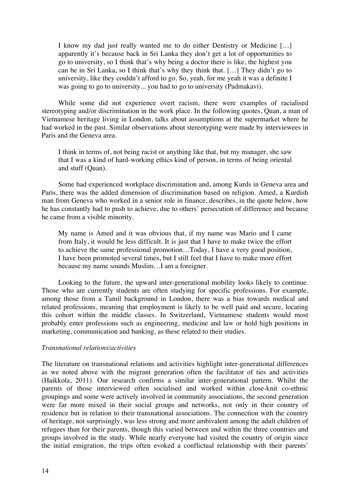I know my dad just really wanted me to do either Dentistry or Medicine […] apparently it's because back in Sri Lanka they don't get a lot of opportunities to go to university, so I think that's why being a doctor there is like, the highest you can be in Sri Lanka, so I think that's why they think that. […] They didn't go to university, like they couldn't afford to go. So, yeah, for me yeah it was a definite I was going to go to university... you had to go to university (Padmakavi).

While some did not experience overt racism, there were examples of racialised stereotyping and/or discrimination in the work place. In the following quotes, Quan, a man of Vietnamese heritage living in London, talks about assumptions at the supermarket where he had worked in the past. Similar observations about stereotyping were made by interviewees in Paris and the Geneva area.

I think in terms of, not being racist or anything like that, but my manager, she saw that I was a kind of hard-working ethics kind of person, in terms of being oriental and stuff (Quan).

Some had experienced workplace discrimination and, among Kurds in Geneva area and Paris, there was the added dimension of discrimination based on religion. Amed, a Kurdish man from Geneva who worked in a senior role in finance, describes, in the quote below, how he has constantly had to push to achieve, due to others' persecution of difference and because he came from a visible minority.

My name is Amed and it was obvious that, if my name was Mario and I came from Italy, it would be less difficult. It is just that I have to make twice the effort to achieve the same professional promotion…Today, I have a very good position, I have been promoted several times, but I still feel that I have to make more effort because my name sounds Muslim…I am a foreigner.

Looking to the future, the upward inter-generational mobility looks likely to continue. Those who are currently students are often studying for specific professions. For example, among those from a Tamil background in London, there was a bias towards medical and related professions, meaning that employment is likely to be well paid and secure, locating this cohort within the middle classes. In Switzerland, Vietnamese students would most probably enter professions such as engineering, medicine and law or hold high positions in marketing, communication and banking, as these related to their studies.

### *Transnational relations/activities*

The literature on transnational relations and activities highlight inter-generational differences as we noted above with the migrant generation often the facilitator of ties and activities (Haikkola, 2011). Our research confirms a similar inter-generational pattern. Whilst the parents of those interviewed often socialised and worked within close-knit co-ethnic groupings and some were actively involved in community associations, the second generation were far more mixed in their social groups and networks, not only in their country of residence but in relation to their transnational associations. The connection with the country of heritage, not surprisingly, was less strong and more ambivalent among the adult children of refugees than for their parents, though this varied between and within the three countries and groups involved in the study. While nearly everyone had visited the country of origin since the initial emigration, the trips often evoked a conflictual relationship with their parents'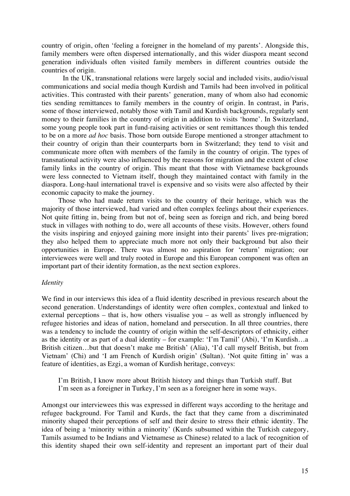country of origin, often 'feeling a foreigner in the homeland of my parents'. Alongside this, family members were often dispersed internationally, and this wider diaspora meant second generation individuals often visited family members in different countries outside the countries of origin.

In the UK, transnational relations were largely social and included visits, audio/visual communications and social media though Kurdish and Tamils had been involved in political activities. This contrasted with their parents' generation, many of whom also had economic ties sending remittances to family members in the country of origin. In contrast, in Paris, some of those interviewed, notably those with Tamil and Kurdish backgrounds, regularly sent money to their families in the country of origin in addition to visits 'home'. In Switzerland, some young people took part in fund-raising activities or sent remittances though this tended to be on a more *ad hoc* basis. Those born outside Europe mentioned a stronger attachment to their country of origin than their counterparts born in Switzerland; they tend to visit and communicate more often with members of the family in the country of origin. The types of transnational activity were also influenced by the reasons for migration and the extent of close family links in the country of origin. This meant that those with Vietnamese backgrounds were less connected to Vietnam itself, though they maintained contact with family in the diaspora. Long-haul international travel is expensive and so visits were also affected by their economic capacity to make the journey.

Those who had made return visits to the country of their heritage, which was the majority of those interviewed, had varied and often complex feelings about their experiences. Not quite fitting in, being from but not of, being seen as foreign and rich, and being bored stuck in villages with nothing to do, were all accounts of these visits. However, others found the visits inspiring and enjoyed gaining more insight into their parents' lives pre-migration; they also helped them to appreciate much more not only their background but also their opportunities in Europe. There was almost no aspiration for 'return' migration; our interviewees were well and truly rooted in Europe and this European component was often an important part of their identity formation, as the next section explores.

# *Identity*

We find in our interviews this idea of a fluid identity described in previous research about the second generation. Understandings of identity were often complex, contextual and linked to external perceptions – that is, how others visualise you – as well as strongly influenced by refugee histories and ideas of nation, homeland and persecution. In all three countries, there was a tendency to include the country of origin within the self-descriptors of ethnicity, either as the identity or as part of a dual identity – for example: 'I'm Tamil' (Abi), 'I'm Kurdish…a British citizen…but that doesn't make me British' (Alia), 'I'd call myself British, but from Vietnam' (Chi) and 'I am French of Kurdish origin' (Sultan). 'Not quite fitting in' was a feature of identities, as Ezgi, a woman of Kurdish heritage, conveys:

I'm British, I know more about British history and things than Turkish stuff. But I'm seen as a foreigner in Turkey, I'm seen as a foreigner here in some ways.

Amongst our interviewees this was expressed in different ways according to the heritage and refugee background. For Tamil and Kurds, the fact that they came from a discriminated minority shaped their perceptions of self and their desire to stress their ethnic identity. The idea of being a 'minority within a minority' (Kurds subsumed within the Turkish category, Tamils assumed to be Indians and Vietnamese as Chinese) related to a lack of recognition of this identity shaped their own self-identity and represent an important part of their dual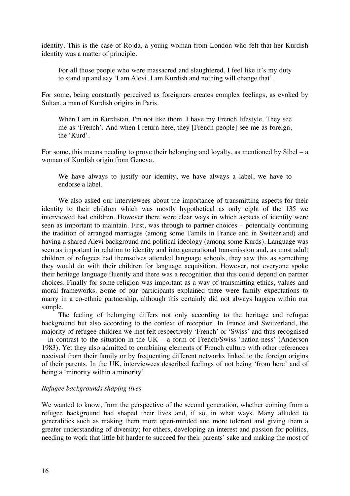identity. This is the case of Rojda, a young woman from London who felt that her Kurdish identity was a matter of principle.

For all those people who were massacred and slaughtered, I feel like it's my duty to stand up and say 'I am Alevi, I am Kurdish and nothing will change that'.

For some, being constantly perceived as foreigners creates complex feelings, as evoked by Sultan, a man of Kurdish origins in Paris.

When I am in Kurdistan, I'm not like them. I have my French lifestyle. They see me as 'French'. And when I return here, they [French people] see me as foreign, the 'Kurd'.

For some, this means needing to prove their belonging and loyalty, as mentioned by Sibel – a woman of Kurdish origin from Geneva.

We have always to justify our identity, we have always a label, we have to endorse a label.

We also asked our interviewees about the importance of transmitting aspects for their identity to their children which was mostly hypothetical as only eight of the 135 we interviewed had children. However there were clear ways in which aspects of identity were seen as important to maintain. First, was through to partner choices – potentially continuing the tradition of arranged marriages (among some Tamils in France and in Switzerland) and having a shared Alevi background and political ideology (among some Kurds). Language was seen as important in relation to identity and intergenerational transmission and, as most adult children of refugees had themselves attended language schools, they saw this as something they would do with their children for language acquisition. However, not everyone spoke their heritage language fluently and there was a recognition that this could depend on partner choices. Finally for some religion was important as a way of transmitting ethics, values and moral frameworks. Some of our participants explained there were family expectations to marry in a co-ethnic partnership, although this certainly did not always happen within our sample.

The feeling of belonging differs not only according to the heritage and refugee background but also according to the context of reception. In France and Switzerland, the majority of refugee children we met felt respectively 'French' or 'Swiss' and thus recognised – in contrast to the situation in the UK – a form of French/Swiss 'nation-ness' (Anderson 1983). Yet they also admitted to combining elements of French culture with other references received from their family or by frequenting different networks linked to the foreign origins of their parents. In the UK, interviewees described feelings of not being 'from here' and of being a 'minority within a minority'.

# *Refugee backgrounds shaping lives*

We wanted to know, from the perspective of the second generation, whether coming from a refugee background had shaped their lives and, if so, in what ways. Many alluded to generalities such as making them more open-minded and more tolerant and giving them a greater understanding of diversity; for others, developing an interest and passion for politics, needing to work that little bit harder to succeed for their parents' sake and making the most of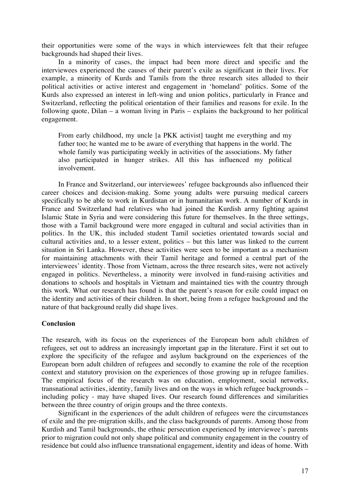their opportunities were some of the ways in which interviewees felt that their refugee backgrounds had shaped their lives.

In a minority of cases, the impact had been more direct and specific and the interviewees experienced the causes of their parent's exile as significant in their lives. For example, a minority of Kurds and Tamils from the three research sites alluded to their political activities or active interest and engagement in 'homeland' politics. Some of the Kurds also expressed an interest in left-wing and union politics, particularly in France and Switzerland, reflecting the political orientation of their families and reasons for exile. In the following quote, Dilan – a woman living in Paris – explains the background to her political engagement.

From early childhood, my uncle [a PKK activist] taught me everything and my father too; he wanted me to be aware of everything that happens in the world. The whole family was participating weekly in activities of the associations. My father also participated in hunger strikes. All this has influenced my political involvement.

In France and Switzerland, our interviewees' refugee backgrounds also influenced their career choices and decision-making. Some young adults were pursuing medical careers specifically to be able to work in Kurdistan or in humanitarian work. A number of Kurds in France and Switzerland had relatives who had joined the Kurdish army fighting against Islamic State in Syria and were considering this future for themselves. In the three settings, those with a Tamil background were more engaged in cultural and social activities than in politics. In the UK, this included student Tamil societies orientated towards social and cultural activities and, to a lesser extent, politics – but this latter was linked to the current situation in Sri Lanka. However, these activities were seen to be important as a mechanism for maintaining attachments with their Tamil heritage and formed a central part of the interviewees' identity. Those from Vietnam, across the three research sites, were not actively engaged in politics. Nevertheless, a minority were involved in fund-raising activities and donations to schools and hospitals in Vietnam and maintained ties with the country through this work. What our research has found is that the parent's reason for exile could impact on the identity and activities of their children. In short, being from a refugee background and the nature of that background really did shape lives.

### **Conclusion**

The research, with its focus on the experiences of the European born adult children of refugees, set out to address an increasingly important gap in the literature. First it set out to explore the specificity of the refugee and asylum background on the experiences of the European born adult children of refugees and secondly to examine the role of the reception context and statutory provision on the experiences of those growing up in refugee families. The empirical focus of the research was on education, employment, social networks, transnational activities, identity, family lives and on the ways in which refugee backgrounds – including policy - may have shaped lives. Our research found differences and similarities between the three country of origin groups and the three contexts.

Significant in the experiences of the adult children of refugees were the circumstances of exile and the pre-migration skills, and the class backgrounds of parents. Among those from Kurdish and Tamil backgrounds, the ethnic persecution experienced by interviewee's parents prior to migration could not only shape political and community engagement in the country of residence but could also influence transnational engagement, identity and ideas of home. With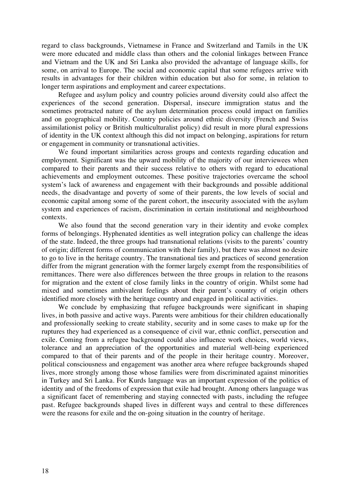regard to class backgrounds, Vietnamese in France and Switzerland and Tamils in the UK were more educated and middle class than others and the colonial linkages between France and Vietnam and the UK and Sri Lanka also provided the advantage of language skills, for some, on arrival to Europe. The social and economic capital that some refugees arrive with results in advantages for their children within education but also for some, in relation to longer term aspirations and employment and career expectations.

Refugee and asylum policy and country policies around diversity could also affect the experiences of the second generation. Dispersal, insecure immigration status and the sometimes protracted nature of the asylum determination process could impact on families and on geographical mobility. Country policies around ethnic diversity (French and Swiss assimilationist policy or British multiculturalist policy) did result in more plural expressions of identity in the UK context although this did not impact on belonging, aspirations for return or engagement in community or transnational activities.

We found important similarities across groups and contexts regarding education and employment. Significant was the upward mobility of the majority of our interviewees when compared to their parents and their success relative to others with regard to educational achievements and employment outcomes. These positive trajectories overcame the school system's lack of awareness and engagement with their backgrounds and possible additional needs, the disadvantage and poverty of some of their parents, the low levels of social and economic capital among some of the parent cohort, the insecurity associated with the asylum system and experiences of racism, discrimination in certain institutional and neighbourhood contexts.

We also found that the second generation vary in their identity and evoke complex forms of belongings. Hyphenated identities as well integration policy can challenge the ideas of the state. Indeed, the three groups had transnational relations (visits to the parents' country of origin; different forms of communication with their family), but there was almost no desire to go to live in the heritage country. The transnational ties and practices of second generation differ from the migrant generation with the former largely exempt from the responsibilities of remittances. There were also differences between the three groups in relation to the reasons for migration and the extent of close family links in the country of origin. Whilst some had mixed and sometimes ambivalent feelings about their parent's country of origin others identified more closely with the heritage country and engaged in political activities.

We conclude by emphasizing that refugee backgrounds were significant in shaping lives, in both passive and active ways. Parents were ambitious for their children educationally and professionally seeking to create stability, security and in some cases to make up for the ruptures they had experienced as a consequence of civil war, ethnic conflict, persecution and exile. Coming from a refugee background could also influence work choices, world views, tolerance and an appreciation of the opportunities and material well-being experienced compared to that of their parents and of the people in their heritage country. Moreover, political consciousness and engagement was another area where refugee backgrounds shaped lives, more strongly among those whose families were from discriminated against minorities in Turkey and Sri Lanka. For Kurds language was an important expression of the politics of identity and of the freedoms of expression that exile had brought. Among others language was a significant facet of remembering and staying connected with pasts, including the refugee past. Refugee backgrounds shaped lives in different ways and central to these differences were the reasons for exile and the on-going situation in the country of heritage.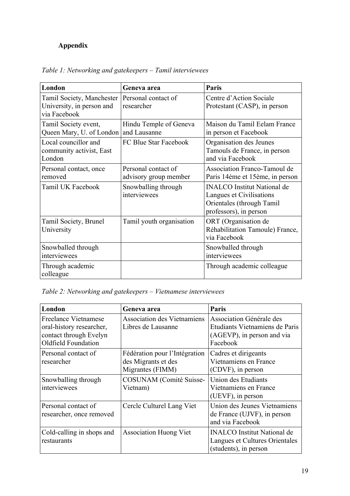# **Appendix**

| London                                                                 | Geneva area                                  | Paris                                                                                                                 |  |  |
|------------------------------------------------------------------------|----------------------------------------------|-----------------------------------------------------------------------------------------------------------------------|--|--|
| Tamil Society, Manchester<br>University, in person and<br>via Facebook | Personal contact of<br>researcher            | Centre d'Action Sociale<br>Protestant (CASP), in person                                                               |  |  |
| Tamil Society event,<br>Queen Mary, U. of London                       | Hindu Temple of Geneva<br>and Lausanne       | Maison du Tamil Eelam France<br>in person et Facebook                                                                 |  |  |
| Local councillor and<br>community activist, East<br>London             | FC Blue Star Facebook                        | Organisation des Jeunes<br>Tamouls de France, in person<br>and via Facebook                                           |  |  |
| Personal contact, once<br>removed                                      | Personal contact of<br>advisory group member | Association Franco-Tamoul de<br>Paris 14ème et 15ème, in person                                                       |  |  |
| Tamil UK Facebook                                                      | Snowballing through<br>interviewees          | <b>INALCO</b> Institut National de<br>Langues et Civilisations<br>Orientales (through Tamil<br>professors), in person |  |  |
| Tamil Society, Brunel<br>University                                    | Tamil youth organisation                     | ORT (Organisation de<br>Réhabilitation Tamoule) France,<br>via Facebook                                               |  |  |
| Snowballed through<br>interviewees                                     |                                              | Snowballed through<br>interviewees                                                                                    |  |  |
| Through academic<br>colleague                                          |                                              | Through academic colleague                                                                                            |  |  |

*Table 1: Networking and gatekeepers – Tamil interviewees*

*Table 2: Networking and gatekeepers – Vietnamese interviewees*

| London                                                                                                   | Geneva area                                                              | <b>Paris</b>                                                                                         |  |  |
|----------------------------------------------------------------------------------------------------------|--------------------------------------------------------------------------|------------------------------------------------------------------------------------------------------|--|--|
| Freelance Vietnamese<br>oral-history researcher,<br>contact through Evelyn<br><b>Oldfield Foundation</b> | <b>Association des Vietnamiens</b><br>Libres de Lausanne                 | Association Générale des<br>Etudiants Vietnamiens de Paris<br>(AGEVP), in person and via<br>Facebook |  |  |
| Personal contact of<br>researcher                                                                        | Fédération pour l'Intégration<br>des Migrants et des<br>Migrantes (FIMM) | Cadres et dirigeants<br>Vietnamiens en France<br>(CDVF), in person                                   |  |  |
| Snowballing through<br>interviewees                                                                      | <b>COSUNAM</b> (Comité Suisse-<br>Vietnam)                               | Union des Etudiants<br>Vietnamiens en France<br>(UEVF), in person                                    |  |  |
| Personal contact of<br>researcher, once removed                                                          | Cercle Culturel Lang Viet                                                | Union des Jeunes Vietnamiens<br>de France (UJVF), in person<br>and via Facebook                      |  |  |
| Cold-calling in shops and<br>restaurants                                                                 | <b>Association Huong Viet</b>                                            | <b>INALCO</b> Institut National de<br>Langues et Cultures Orientales<br>(students), in person        |  |  |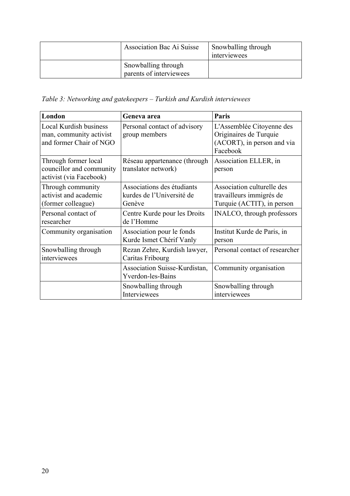| <b>Association Bac Ai Suisse</b>               | Snowballing through<br>interviewees |
|------------------------------------------------|-------------------------------------|
| Snowballing through<br>parents of interviewees |                                     |

*Table 3: Networking and gatekeepers – Turkish and Kurdish interviewees*

| London                                                                              | Geneva area                                                       | Paris                                                                                         |  |  |
|-------------------------------------------------------------------------------------|-------------------------------------------------------------------|-----------------------------------------------------------------------------------------------|--|--|
| <b>Local Kurdish business</b><br>man, community activist<br>and former Chair of NGO | Personal contact of advisory<br>group members                     | L'Assemblée Citoyenne des<br>Originaires de Turquie<br>(ACORT), in person and via<br>Facebook |  |  |
| Through former local<br>councillor and community<br>activist (via Facebook)         | Réseau appartenance (through<br>translator network)               | Association ELLER, in<br>person                                                               |  |  |
| Through community<br>activist and academic<br>(former colleague)                    | Associations des étudiants<br>kurdes de l'Université de<br>Genève | Association culturelle des<br>travailleurs immigrés de<br>Turquie (ACTIT), in person          |  |  |
| Personal contact of<br>researcher                                                   | Centre Kurde pour les Droits<br>de l'Homme                        | INALCO, through professors                                                                    |  |  |
| Community organisation                                                              | Association pour le fonds<br>Kurde Ismet Chérif Vanly             | Institut Kurde de Paris, in<br>person                                                         |  |  |
| Snowballing through<br>interviewees                                                 | Rezan Zehre, Kurdish lawyer,<br>Caritas Fribourg                  | Personal contact of researcher                                                                |  |  |
|                                                                                     | Association Suisse-Kurdistan,<br><b>Yverdon-les-Bains</b>         | Community organisation                                                                        |  |  |
|                                                                                     | Snowballing through<br>Interviewees                               | Snowballing through<br>interviewees                                                           |  |  |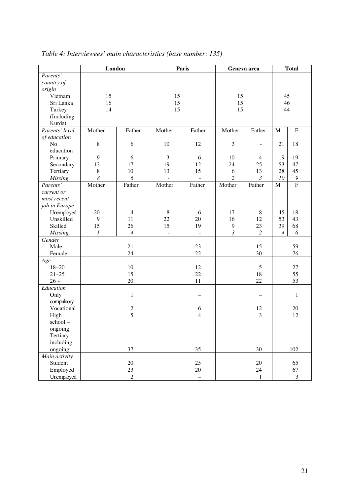|                | London           |                  | <b>Paris</b>             |                          | Geneva area    |                | <b>Total</b>   |                |
|----------------|------------------|------------------|--------------------------|--------------------------|----------------|----------------|----------------|----------------|
| Parents'       |                  |                  |                          |                          |                |                |                |                |
| country of     |                  |                  |                          |                          |                |                |                |                |
| origin         |                  |                  |                          |                          |                |                |                |                |
| Vietnam        | 15               |                  | 15                       |                          | 15             |                | 45             |                |
| Sri Lanka      | 16               |                  | 15                       |                          | 15             |                | 46             |                |
| Turkey         | 14               |                  | 15                       |                          | 15             |                | 44             |                |
| (Including     |                  |                  |                          |                          |                |                |                |                |
| Kurds)         |                  |                  |                          |                          |                |                |                |                |
| Parents' level | Mother           | Father           | Mother                   | Father                   | Mother         | Father         | M              | $\overline{F}$ |
| of education   |                  |                  |                          |                          |                |                |                |                |
| No             | $\,8\,$          | 6                | 10                       | 12                       | 3              | $\overline{a}$ | 21             | 18             |
| education      |                  |                  |                          |                          |                |                |                |                |
| Primary        | 9                | 6                | 3                        | 6                        | 10             | $\overline{4}$ | 19             | 19             |
| Secondary      | 12               | 17               | 19                       | 12                       | 24             | 25             | 53             | 47             |
| Tertiary       | $\,8\,$          | 10               | 13                       | 15                       | 6              | 13             | 28             | 45             |
| <b>Missing</b> | 8                | 6                |                          |                          | $\overline{2}$ | $\mathfrak{Z}$ | 10             | 9              |
| Parents'       | Mother           | Father           | Mother                   | Father                   | Mother         | Father         | M              | $\overline{F}$ |
| current or     |                  |                  |                          |                          |                |                |                |                |
| most recent    |                  |                  |                          |                          |                |                |                |                |
| job in Europe  |                  |                  |                          |                          |                |                |                |                |
| Unemployed     | 20               | $\overline{4}$   | $\,8\,$                  | 6                        | 17             | 8              | 45             | 18             |
| Unskilled      | 9                | 11               | 22                       | 20                       | 16             | 12             | 53             | 43             |
| Skilled        | 15               | 26               | 15                       | 19                       | $\mathbf{9}$   | 23             | 39             | 68             |
| <b>Missing</b> | $\boldsymbol{l}$ | $\overline{4}$   |                          | $\overline{\phantom{a}}$ | $\overline{3}$ | $\overline{c}$ | $\overline{4}$ | 6              |
| Gender         |                  |                  |                          |                          |                |                |                |                |
| Male           |                  | 21               |                          | 23                       |                | 15             |                | 59             |
| Female         |                  | 24               | 22                       |                          | 30             |                | 76             |                |
| Age            |                  |                  |                          |                          |                |                |                |                |
| $18 - 20$      |                  | 10               |                          | 12                       |                | 5              |                | 27             |
| $21 - 25$      | 15               |                  | 22                       |                          | 18             |                | 55             |                |
| $26 +$         | 20               |                  | 11                       |                          | 22             |                | 53             |                |
| Education      |                  |                  |                          |                          |                |                |                |                |
| Only           |                  | $\mathbf{1}$     |                          |                          |                |                |                | $\mathbf{1}$   |
| compulsory     |                  |                  |                          |                          |                |                |                |                |
| Vocational     |                  | $\boldsymbol{2}$ |                          | 6                        |                | 12             |                | 20             |
| High           | $\overline{5}$   |                  | $\overline{4}$           |                          | 3              |                | 12             |                |
| school-        |                  |                  |                          |                          |                |                |                |                |
| ongoing        |                  |                  |                          |                          |                |                |                |                |
| Tertiary-      |                  |                  |                          |                          |                |                |                |                |
| including      |                  |                  |                          |                          |                |                |                |                |
| ongoing        | 37               |                  | 35                       |                          | 30             |                | 102            |                |
| Main activity  |                  |                  |                          |                          |                |                |                |                |
| Student        |                  | 20               |                          | 25                       |                | 20             |                | 65             |
| Employed       | 23               |                  | 20                       |                          | 24             |                | 67             |                |
| Unemployed     | $\boldsymbol{2}$ |                  | $\overline{\phantom{0}}$ |                          | $\mathbf{1}$   |                | $\mathfrak{Z}$ |                |

*Table 4: Interviewees' main characteristics (base number: 135)*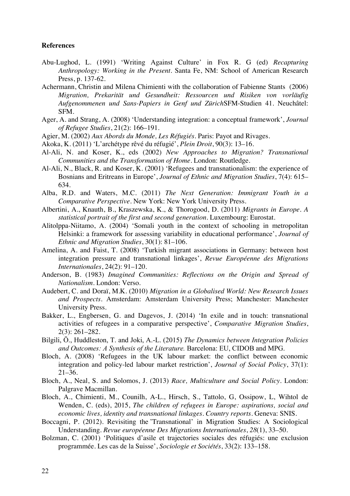### **References**

- Abu-Lughod, L. (1991) 'Writing Against Culture' in Fox R. G (ed) *Recapturing Anthropology: Working in the Present*. Santa Fe, NM: School of American Research Press, p. 137-62.
- Achermann, Christin and Milena Chimienti with the collaboration of Fabienne Stants (2006) *Migration, Prekarität und Gesundheit: Ressourcen und Risiken von vorläufig Aufgenommenen und Sans-Papiers in Genf und Zürich*SFM-Studien 41. Neuchâtel: SFM.
- Ager, A. and Strang, A. (2008) 'Understanding integration: a conceptual framework', *Journal of Refugee Studies*, 21(2): 166–191.
- Agier, M. (2002) *Aux Abords du Monde, Les Réfugiés*. Paris: Payot and Rivages.
- Akoka, K. (2011) 'L'archétype rêvé du réfugié', *Plein Droit*, 90(3): 13–16.
- Al-Ali, N. and Koser, K., eds (2002) *New Approaches to Migration? Transnational Communities and the Transformation of Home*. London: Routledge.
- Al-Ali, N., Black, R. and Koser, K. (2001) 'Refugees and transnationalism: the experience of Bosnians and Eritreans in Europe', *Journal of Ethnic and Migration Studies*, 7(4): 615– 634.
- Alba, R.D. and Waters, M.C. (2011) *The Next Generation: Immigrant Youth in a Comparative Perspective*. New York: New York University Press.
- Albertini, A., Knauth, B., Kraszewska, K., & Thorogood, D. (2011) *Migrants in Europe. A statistical portrait of the first and second generation*. Luxembourg: Eurostat.
- Alitolppa-Niitamo, A. (2004) 'Somali youth in the context of schooling in metropolitan Helsinki: a framework for assessing variability in educational performance', *Journal of Ethnic and Migration Studies*, 30(1): 81–106.
- Amelina, A. and Faist, T. (2008) 'Turkish migrant associations in Germany: between host integration pressure and transnational linkages', *Revue Européenne des Migrations Internationales*, 24(2): 91–120.
- Anderson, B. (1983) *Imagined Communities: Reflections on the Origin and Spread of Nationalism*. London: Verso.
- Audebert, C. and Doraï, M.K. (2010) *Migration in a Globalised World: New Research Issues and Prospects*. Amsterdam: Amsterdam University Press; Manchester: Manchester University Press.
- Bakker, L., Engbersen, G. and Dagevos, J. (2014) 'In exile and in touch: transnational activities of refugees in a comparative perspective', *Comparative Migration Studies*, 2(3): 261–282.
- Bilgili, Ö., Huddleston, T. and Joki, A.-L. (2015) *The Dynamics between Integration Policies and Outcomes: A Synthesis of the Literature.* Barcelona: EU, CIDOB and MPG.
- Bloch, A. (2008) 'Refugees in the UK labour market: the conflict between economic integration and policy-led labour market restriction', *Journal of Social Policy*, 37(1): 21–36.
- Bloch, A., Neal, S. and Solomos, J. (2013) *Race, Multiculture and Social Policy*. London: Palgrave Macmillan.
- Bloch, A., Chimienti, M., Counilh, A-L., Hirsch, S., Tattolo, G, Ossipow, L, Wihtol de Wenden, C. (eds), 2015, *The children of refugees in Europe: aspirations, social and economic lives, identity and transnational linkages*. *Country reports.* Geneva: SNIS.
- Boccagni, P. (2012). Revisiting the 'Transnational' in Migration Studies: A Sociological Understanding. *Revue européenne Des Migrations Internationales*, *28*(1), 33–50.
- Bolzman, C. (2001) 'Politiques d'asile et trajectories sociales des réfugiés: une exclusion programmée. Les cas de la Suisse', *Sociologie et Sociétés*, 33(2): 133–158.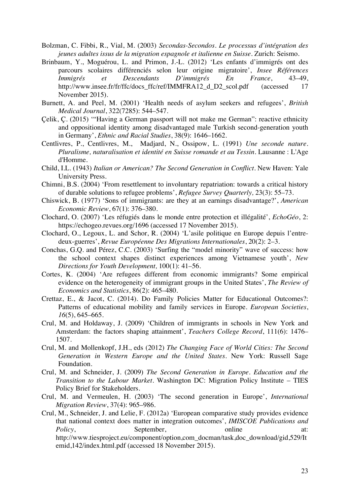- Bolzman, C. Fibbi, R., Vial, M. (2003) *Secondas-Secondos. Le processus d'intégration des jeunes adultes issus de la migration espagnole et italienne en Suisse*. Zurich: Seismo.
- Brinbaum, Y., Moguérou, L. and Primon, J.-L. (2012) 'Les enfants d'immigrés ont des parcours scolaires différenciés selon leur origine migratoire', *Insee Références Immigrés et Descendants D'immigrés En France*, 43–49, http://www.insee.fr/fr/ffc/docs\_ffc/ref/IMMFRA12\_d\_D2\_scol.pdf (accessed 17 November 2015).
- Burnett, A. and Peel, M. (2001) 'Health needs of asylum seekers and refugees', *British Medical Journal*, 322(7285): 544–547.
- Çelik, Ç. (2015) '"Having a German passport will not make me German": reactive ethnicity and oppositional identity among disadvantaged male Turkish second-generation youth in Germany', *Ethnic and Racial Studies*, 38(9): 1646–1662.
- Centlivres, P., Centlivres, M., Madjard, N., Ossipow, L. (1991) *Une seconde nature. Pluralisme, naturalisation et identité en Suisse romande et au Tessin*. Lausanne : L'Age d'Homme.
- Child, I.L. (1943) *Italian or American? The Second Generation in Conflict*. New Haven: Yale University Press.
- Chimni, B.S. (2004) 'From resettlement to involuntary repatriation: towards a critical history of durable solutions to refugee problems', *Refugee Survey Quarterly,* 23(3): 55–73.
- Chiswick, B. (1977) 'Sons of immigrants: are they at an earnings disadvantage?', *American Economic Review*, 67(1): 376–380.
- Clochard, O. (2007) 'Les réfugiés dans le monde entre protection et illégalité', *EchoGéo*, 2: https://echogeo.revues.org/1696 (accessed 17 November 2015).
- Clochard, O., Legoux, L. and Schor, R. (2004) 'L'asile politique en Europe depuis l'entredeux-guerres', *Revue Européenne Des Migrations Internationales*, 20(2): 2–3.
- Conchas, G.Q. and Pérez, C.C. (2003) 'Surfing the "model minority" wave of success: how the school context shapes distinct experiences among Vietnamese youth', *New Directions for Youth Development,* 100(1): 41–56.
- Cortes, K. (2004) 'Are refugees different from economic immigrants? Some empirical evidence on the heterogeneity of immigrant groups in the United States', *The Review of Economics and Statistics*, 86(2): 465–480.
- Crettaz, E., & Jacot, C. (2014). Do Family Policies Matter for Educational Outcomes?: Patterns of educational mobility and family services in Europe. *European Societies*, *16*(5), 645–665.
- Crul, M. and Holdaway, J. (2009) 'Children of immigrants in schools in New York and Amsterdam: the factors shaping attainment', *Teachers College Record*, 111(6): 1476– 1507.
- Crul, M. and Mollenkopf, J.H., eds (2012) *The Changing Face of World Cities: The Second Generation in Western Europe and the United States*. New York: Russell Sage Foundation.
- Crul, M. and Schneider, J. (2009) *The Second Generation in Europe. Education and the Transition to the Labour Market.* Washington DC: Migration Policy Institute – TIES Policy Brief for Stakeholders.
- Crul, M. and Vermeulen, H. (2003) 'The second generation in Europe', *International Migration Review*, 37(4): 965–986.
- Crul, M., Schneider, J. and Lelie, F. (2012a) 'European comparative study provides evidence that national context does matter in integration outcomes', *IMISCOE Publications and Policy*, September, September, online at: http://www.tiesproject.eu/component/option,com\_docman/task,doc\_download/gid,529/It emid,142/index.html.pdf (accessed 18 November 2015).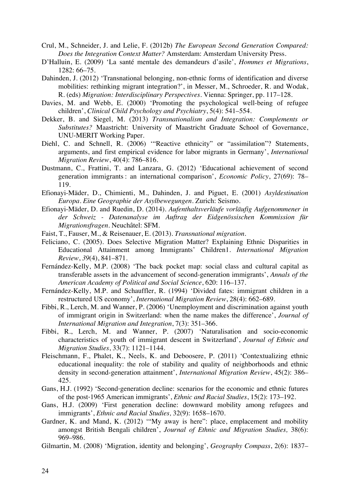- Crul, M., Schneider, J. and Lelie, F. (2012b) *The European Second Generation Compared: Does the Integration Context Matter?* Amsterdam: Amsterdam University Press.
- D'Halluin, E. (2009) 'La santé mentale des demandeurs d'asile', *Hommes et Migrations*, 1282: 66–75.
- Dahinden, J. (2012) 'Transnational belonging, non-ethnic forms of identification and diverse mobilities: rethinking migrant integration?', in Messer, M., Schroeder, R. and Wodak, R. (eds) *Migration: Interdisciplinary Perspectives*. Vienna: Springer, pp. 117–128.
- Davies, M. and Webb, E. (2000) 'Promoting the psychological well-being of refugee children', *Clinical Child Psychology and Psychiatry*, 5(4): 541–554.
- Dekker, B. and Siegel, M. (2013) *Transnationalism and Integration: Complements or Substitutes?* Maastricht: University of Maastricht Graduate School of Governance, UNU-MERIT Working Paper.
- Diehl, C. and Schnell, R. (2006) "Reactive ethnicity" or "assimilation"? Statements, arguments, and first empirical evidence for labor migrants in Germany', *International Migration Review*, 40(4): 786–816.
- Dustmann, C., Frattini, T. and Lanzara, G. (2012) 'Educational achievement of second generation immigrants : an international comparison', *Economic Policy*, 27(69): 78– 119.
- Efionayi-Mäder, D., Chimienti, M., Dahinden, J. and Piguet, E. (2001) *Asyldestination Europa. Eine Geographie der Asylbewegungen*. Zurich: Seismo.
- Efionayi-Mäder, D. and Ruedin, D. (2014). *Aufenthaltsverläufe vorläufig Aufgenommener in der Schweiz - Datenanalyse im Auftrag der Eidgenössischen Kommission für Migrationsfragen*. Neuchâtel: SFM.
- Faist, T., Fauser, M., & Reisenauer, E. (2013). *Transnational migration*.
- Feliciano, C. (2005). Does Selective Migration Matter? Explaining Ethnic Disparities in Educational Attainment among Immigrants' Children1. *International Migration Review*, *39*(4), 841–871.
- Fernández-Kelly, M.P. (2008) 'The back pocket map: social class and cultural capital as transferable assets in the advancement of second-generation immigrants', *Annals of the American Academy of Political and Social Science*, 620: 116–137.
- Fernández-Kelly, M.P. and Schauffler, R. (1994) 'Divided fates: immigrant children in a restructured US economy', *International Migration Review*, 28(4): 662–689.
- Fibbi, R., Lerch, M. and Wanner, P. (2006) 'Unemployment and discrimination against youth of immigrant origin in Switzerland: when the name makes the difference', *Journal of International Migration and Integration*, 7(3): 351–366.
- Fibbi, R., Lerch, M. and Wanner, P. (2007) 'Naturalisation and socio-economic characteristics of youth of immigrant descent in Switzerland', *Journal of Ethnic and Migration Studies*, 33(7): 1121–1144.
- Fleischmann, F., Phalet, K., Neels, K. and Deboosere, P. (2011) 'Contextualizing ethnic educational inequality: the role of stability and quality of neighborhoods and ethnic density in second-generation attainment', *International Migration Review*, 45(2): 386– 425.
- Gans, H.J. (1992) 'Second‐generation decline: scenarios for the economic and ethnic futures of the post‐1965 American immigrants', *Ethnic and Racial Studies*, 15(2): 173–192.
- Gans, H.J. (2009) 'First generation decline: downward mobility among refugees and immigrants', *Ethnic and Racial Studies,* 32(9): 1658–1670.
- Gardner, K. and Mand, K. (2012) "My away is here": place, emplacement and mobility amongst British Bengali children', *Journal of Ethnic and Migration Studies,* 38(6): 969–986.
- Gilmartin, M. (2008) 'Migration, identity and belonging', *Geography Compass*, 2(6): 1837–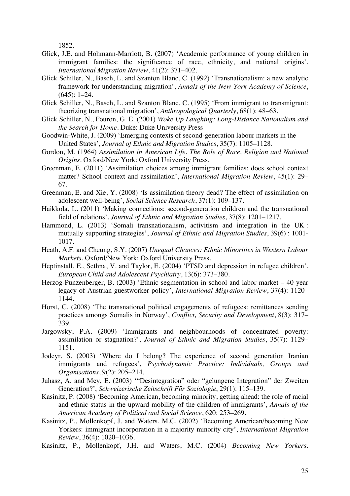1852.

- Glick, J.E. and Hohmann-Marriott, B. (2007) 'Academic performance of young children in immigrant families: the significance of race, ethnicity, and national origins', *International Migration Review*, 41(2): 371–402.
- Glick Schiller, N., Basch, L. and Szanton Blanc, C. (1992) 'Transnationalism: a new analytic framework for understanding migration', *Annals of the New York Academy of Science*, (645): 1–24.
- Glick Schiller, N., Basch, L. and Szanton Blanc, C. (1995) 'From immigrant to transmigrant: theorizing transnational migration', *Anthropological Quarterly*, 68(1): 48–63.
- Glick Schiller, N., Fouron, G. E. (2001) *Woke Up Laughing: Long-Distance Nationalism and the Search for Home.* Duke: Duke University Press
- Goodwin-White, J. (2009) 'Emerging contexts of second-generation labour markets in the United States', *Journal of Ethnic and Migration Studies*, 35(7): 1105–1128.
- Gordon, M. (1964) *Assimilation in American Life. The Role of Race, Religion and National Origins*. Oxford/New York: Oxford University Press.
- Greenman, E. (2011) 'Assimilation choices among immigrant families: does school context matter? School context and assimilation', *International Migration Review*, 45(1): 29– 67.
- Greenman, E. and Xie, Y. (2008) 'Is assimilation theory dead? The effect of assimilation on adolescent well-being', *Social Science Research*, 37(1): 109–137.
- Haikkola, L. (2011) 'Making connections: second-generation children and the transnational field of relations', *Journal of Ethnic and Migration Studies*, 37(8): 1201–1217.
- Hammond, L. (2013) 'Somali transnationalism, activitism and integration in the UK : mutually supporting strategies', *Journal of Ethnic and Migration Studies*, 39(6) : 1001- 1017.
- Heath, A.F. and Cheung, S.Y. (2007) *Unequal Chances: Ethnic Minorities in Western Labour Markets*. Oxford/New York: Oxford University Press.
- Heptinstall, E., Sethna, V. and Taylor, E. (2004) 'PTSD and depression in refugee children', *European Child and Adolescent Psychiatry*, 13(6): 373–380.
- Herzog-Punzenberger, B. (2003) 'Ethnic segmentation in school and labor market 40 year legacy of Austrian guestworker policy', *International Migration Review*, 37(4): 1120– 1144.
- Horst, C. (2008) 'The transnational political engagements of refugees: remittances sending practices amongs Somalis in Norway', *Conflict, Security and Development*, 8(3): 317– 339.
- Jargowsky, P.A. (2009) 'Immigrants and neighbourhoods of concentrated poverty: assimilation or stagnation?', *Journal of Ethnic and Migration Studies*, 35(7): 1129– 1151.
- Jodeyr, S. (2003) 'Where do I belong? The experience of second generation Iranian immigrants and refugees', *Psychodynamic Practice: Individuals, Groups and Organisations*, 9(2): 205–214.
- Juhasz, A. and Mey, E. (2003) '"Desintegration" oder "gelungene Integration" der Zweiten Generation?', *Schweizerische Zeitschrift Für Soziologie*, 29(1): 115–139.
- Kasinitz, P. (2008) 'Becoming American, becoming minority, getting ahead: the role of racial and ethnic status in the upward mobility of the children of immigrants', *Annals of the American Academy of Political and Social Science*, 620: 253–269.
- Kasinitz, P., Mollenkopf, J. and Waters, M.C. (2002) 'Becoming American/becoming New Yorkers: immigrant incorporation in a majority minority city', *International Migration Review*, 36(4): 1020–1036.
- Kasinitz, P., Mollenkopf, J.H. and Waters, M.C. (2004) *Becoming New Yorkers.*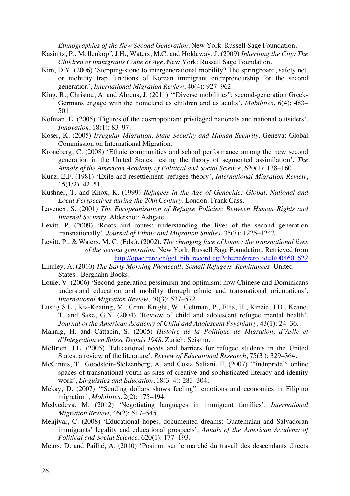*Ethnographies of the New Second Generation.* New York: Russell Sage Foundation.

- Kasinitz, P., Mollenkopf, J.H., Waters, M.C. and Holdaway, J. (2009) *Inheriting the City: The Children of Immigrants Come of Age*. New York: Russell Sage Foundation.
- Kim, D.Y. (2006) 'Stepping-stone to intergenerational mobility? The springboard, safety net, or mobility trap functions of Korean immigrant entrepreneurship for the second generation', *International Migration Review*, 40(4): 927–962.
- King, R., Christou, A. and Ahrens, J. (2011) '"Diverse mobilities": second-generation Greek-Germans engage with the homeland as children and as adults', *Mobilities*, 6(4): 483– 501.
- Kofman, E. (2005) *'*Figures of the cosmopolitan: privileged nationals and national outsiders', *Innovation*, 18(1): 83*–*97*.*
- Koser, K. (2005) *Irregular Migration, State Security and Human Security*. Geneva: Global Commission on International Migration.
- Kroneberg, C. (2008) 'Ethnic communities and school performance among the new second generation in the United States: testing the theory of segmented assimilation', *The Annals of the American Academy of Political and Social Science*, 620(1): 138–160.
- Kunz, E.F. (1981) 'Exile and resettlement: refugee theory', *International Migration Review*, 15(1/2): 42–51.
- Kushner, T. and Knox, K. (1999) *Refugees in the Age of Genocide: Global, National and Local Perspectives during the 20th Century*. London: Frank Cass.
- Lavenex, S. (2001) *The Europeanisation of Refugee Policies: Between Human Rights and Internal Security*. Aldershot: Ashgate.
- Levitt, P. (2009) 'Roots and routes: understanding the lives of the second generation transnationally', *Journal of Ethnic and Migration Studies*, 35(7): 1225–1242.
- Levitt, P., & Waters, M. C. (Eds.). (2002). *The changing face of home : the transnational lives of the second generation*. New York: Russell Sage Foundation. Retrieved from http://opac.rero.ch/get\_bib\_record.cgi?db=ne&rero\_id=R004601622
- Lindley, A. (2010) *The Early Morning Phonecall: Somali Refugees' Remittances*. United States : Berghahn Books.
- Louie, V. (2006) 'Second-generation pessimism and optimism: how Chinese and Dominicans understand education and mobility through ethnic and transnational orientations', *International Migration Review*, 40(3): 537–572.
- Lustig S.L., Kia-Keating, M., Grant Knight, W., Geltman, P., Ellis, H., Kinzie, J.D., Keane, T. and Saxe, G.N. (2004) 'Review of child and adolescent refugee mental health', *Journal of the American Academy of Child and Adolescent Psychiatry*, 43(1): 24–36.
- Mahnig, H. and Cattacin, S. (2005) *Histoire de la Politique de Migration, d'Asile et d'Intégration en Suisse Depuis 1948*. Zurich: Seismo.
- McBrien, J.L. (2005) 'Educational needs and barriers for refugee students in the United States: a review of the literature', *Review of Educational Research*, 75(3 ): 329–364.
- McGinnis, T., Goodstein-Stolzenberg, A. and Costa Saliani, E. (2007) '"indnpride": online spaces of transnational youth as sites of creative and sophisticated literacy and identity work', *Linguistics and Education*, 18(3–4): 283–304.
- Mckay, D. (2007) "Sending dollars shows feeling": emotions and economies in Filipino migration', *Mobilities*, 2(2): 175–194.
- Medvedeva, M. (2012) 'Negotiating languages in immigrant families', *International Migration Review*, 46(2): 517–545.
- Menjívar, C. (2008) 'Educational hopes, documented dreams: Guatemalan and Salvadoran immigrants' legality and educational prospects', *Annals of the American Academy of Political and Social Science*, 620(1): 177–193.
- Meurs, D. and Pailhé, A. (2010) 'Position sur le marché du travail des descendants directs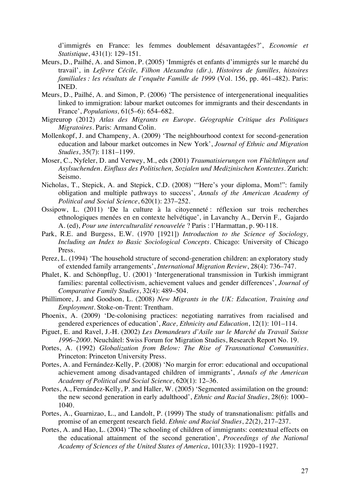d'immigrés en France: les femmes doublement désavantagées?', *Economie et Statistique*, 431(1): 129–151.

- Meurs, D., Pailhé, A. and Simon, P. (2005) 'Immigrés et enfants d'immigrés sur le marché du travail', in *Lefèvre Cécile, Filhon Alexandra (dir.), Histoires de familles, histoires familiales : les résultats de l'enquête Famille de 1999* (Vol. 156, pp. 461–482). Paris: INED.
- Meurs, D., Pailhé, A. and Simon, P. (2006) 'The persistence of intergenerational inequalities linked to immigration: labour market outcomes for immigrants and their descendants in France', *Populations,* 61(5–6): 654–682.
- Migreurop (2012) *Atlas des Migrants en Europe. Géographie Critique des Politiques Migratoires*. Paris: Armand Colin.
- Mollenkopf, J. and Champeny, A. (2009) 'The neighbourhood context for second-generation education and labour market outcomes in New York', *Journal of Ethnic and Migration Studies*, 35(7): 1181–1199.
- Moser, C., Nyfeler, D. and Verwey, M., eds (2001) *Traumatisierungen von Flüchtlingen und Asylsuchenden. Einfluss des Politischen, Sozialen und Medizinischen Kontextes*. Zurich: Seismo.
- Nicholas, T., Stepick, A. and Stepick, C.D. (2008) '"Here's your diploma, Mom!": family obligation and multiple pathways to success', *Annals of the American Academy of Political and Social Science*, 620(1): 237–252.
- Ossipow, L. (2011) 'De la culture à la citoyenneté : réflexion sur trois recherches ethnologiques menées en en contexte helvétique', in Lavanchy A., Dervin F., Gajardo A. (ed), *Pour une interculturalité renouvelée* ? Paris : l'Harmattan, p. 90-118.
- Park, R.E. and Burgess, E.W. (1970 [1921]) *Introduction to the Science of Sociology, Including an Index to Basic Sociological Concepts*. Chicago: University of Chicago Press.
- Perez, L. (1994) 'The household structure of second-generation children: an exploratory study of extended family arrangements', *International Migration Review*, 28(4): 736–747.
- Phalet, K. and Schönpflug, U. (2001) 'Intergenerational transmission in Turkish immigrant families: parental collectivism, achievement values and gender differences', *Journal of Comparative Family Studies*, 32(4): 489–504.
- Phillimore, J. and Goodson, L. (2008) *New Migrants in the UK: Education, Training and Employment*. Stoke-on-Trent: Trentham.
- Phoenix, A. (2009) 'De-colonising practices: negotiating narratives from racialised and gendered experiences of education', *Race, Ethnicity and Education*, 12(1): 101–114.
- Piguet, E. and Ravel, J.-H. (2002) *Les Demandeurs d'Asile sur le Marché du Travail Suisse 1996–2000*. Neuchâtel: Swiss Forum for Migration Studies, Research Report No. 19.
- Portes, A. (1992) *Globalization from Below: The Rise of Transnational Communities.*  Princeton: Princeton University Press.
- Portes, A. and Fernández-Kelly, P. (2008) 'No margin for error: educational and occupational achievement among disadvantaged children of immigrants', *Annals of the American Academy of Political and Social Science*, 620(1): 12–36.
- Portes, A., Fernández-Kelly, P. and Haller, W. (2005) 'Segmented assimilation on the ground: the new second generation in early adulthood', *Ethnic and Racial Studies*, 28(6): 1000– 1040.
- Portes, A., Guarnizao, L., and Landolt, P. (1999) The study of transnationalism: pitfalls and promise of an emergent research field. *Ethnic and Racial Studies*, *22*(2), 217–237.
- Portes, A. and Hao, L. (2004) 'The schooling of children of immigrants: contextual effects on the educational attainment of the second generation', *Proceedings of the National Academy of Sciences of the United States of America*, 101(33): 11920–11927.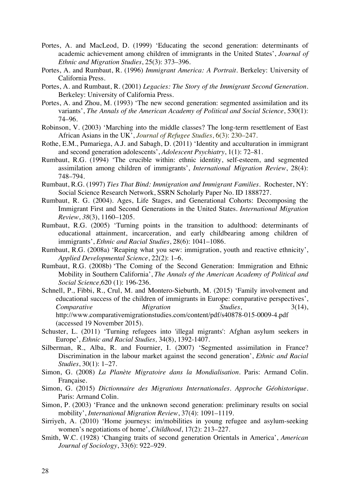- Portes, A. and MacLeod, D. (1999) 'Educating the second generation: determinants of academic achievement among children of immigrants in the United States', *Journal of Ethnic and Migration Studies*, 25(3): 373–396.
- Portes, A. and Rumbaut, R. (1996) *Immigrant America: A Portrait*. Berkeley: University of California Press.
- Portes, A. and Rumbaut, R. (2001) *Legacies: The Story of the Immigrant Second Generation.*  Berkeley: University of California Press.
- Portes, A. and Zhou, M. (1993) 'The new second generation: segmented assimilation and its variants', *The Annals of the American Academy of Political and Social Science*, 530(1): 74–96.
- Robinson, V. (2003) 'Marching into the middle classes? The long-term resettlement of East African Asians in the UK', *Journal of Refugee Studies*, 6(3): 230–247.
- Rothe, E.M., Pumariega, A.J. and Sabagh, D. (2011) 'Identity and acculturation in immigrant and second generation adolescents', *Adolescent Psychiatry*, 1(1): 72–81.
- Rumbaut, R.G. (1994) 'The crucible within: ethnic identity, self-esteem, and segmented assimilation among children of immigrants', *International Migration Review*, 28(4): 748–794.
- Rumbaut, R.G. (1997) *Ties That Bind: Immigration and Immigrant Families*. Rochester, NY: Social Science Research Network, SSRN Scholarly Paper No. ID 1888727.
- Rumbaut, R. G. (2004). Ages, Life Stages, and Generational Cohorts: Decomposing the Immigrant First and Second Generations in the United States. *International Migration Review*, *38*(3), 1160–1205.
- Rumbaut, R.G. (2005) 'Turning points in the transition to adulthood: determinants of educational attainment, incarceration, and early childbearing among children of immigrants', *Ethnic and Racial Studies*, 28(6): 1041–1086.
- Rumbaut, R.G. (2008a) 'Reaping what you sew: immigration, youth and reactive ethnicity', *Applied Developmental Science*, 22(2): 1–6.
- Rumbaut, R.G. (2008b) 'The Coming of the Second Generation: Immigration and Ethnic Mobility in Southern California', *The Annals of the American Academy of Political and Social Science,*620 (1): 196-236.
- Schnell, P., Fibbi, R., Crul, M. and Montero-Sieburth, M. (2015) 'Family involvement and educational success of the children of immigrants in Europe: comparative perspectives', *Comparative Migration Studies*, 3(14), http://www.comparativemigrationstudies.com/content/pdf/s40878-015-0009-4.pdf (accessed 19 November 2015).
- Schuster, L. (2011) 'Turning refugees into 'illegal migrants': Afghan asylum seekers in Europe', *Ethnic and Racial Studies,* 34(8), 1392-1407.
- Silberman, R., Alba, R. and Fournier, I. (2007) 'Segmented assimilation in France? Discrimination in the labour market against the second generation', *Ethnic and Racial Studies*, 30(1): 1–27.
- Simon, G. (2008) *La Planète Migratoire dans la Mondialisation*. Paris: Armand Colin. Française.
- Simon, G. (2015) *Dictionnaire des Migrations Internationales. Approche Géohistorique*. Paris: Armand Colin.
- Simon, P. (2003) 'France and the unknown second generation: preliminary results on social mobility', *International Migration Review*, 37(4): 1091–1119.
- Sirriyeh, A. (2010) 'Home journeys: im/mobilities in young refugee and asylum-seeking women's negotiations of home', *Childhood*, 17(2): 213–227.
- Smith, W.C. (1928) 'Changing traits of second generation Orientals in America', *American Journal of Sociology*, 33(6): 922–929.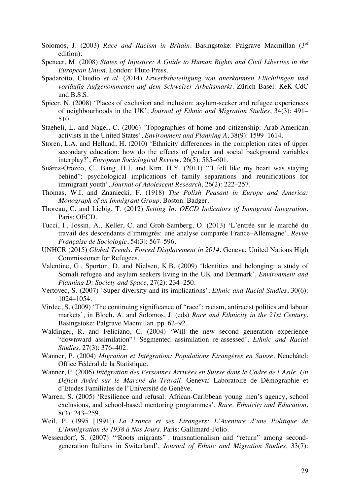- Solomos, J. (2003) *Race and Racism in Britain*. Basingstoke: Palgrave Macmillan (3rd edition).
- Spencer, M. (2008) *States of Injustice: A Guide to Human Rights and Civil Liberties in the European Union*. London: Pluto Press.
- Spadarotto, Claudio *et al.* (2014) *Erwerbsbeteiligung von anerkannten Flüchtlingen und vorläufig Aufgenommenen auf dem Schweizer Arbeitsmarkt*. Zürich Basel: KeK CdC und B.S.S.
- Spicer, N. (2008) 'Places of exclusion and inclusion: asylum-seeker and refugee experiences of neighbourhoods in the UK', *Journal of Ethnic and Migration Studies*, 34(3): 491– 510.
- Staeheli, L. and Nagel, C. (2006) 'Topographies of home and citizenship: Arab-American activists in the United States', *Environment and Planning A*, 38(9): 1599*–*1614*.*
- Storen, L.A. and Helland, H. (2010) 'Ethnicity differences in the completion rates of upper secondary education: how do the effects of gender and social background variables interplay?', *European Sociological Review*, 26(5): 585–601.
- Suárez-Orozco, C., Bang, H.J. and Kim, H.Y. (2011) '"I felt like my heart was staying behind": psychological implications of family separations and reunifications for immigrant youth', *Journal of Adolescent Research*, 26(2): 222–257.
- Thomas, W.I. and Znaniecki, F. (1918) *The Polish Peasant in Europe and America: Monograph of an Immigrant Group*. Boston: Badger.
- Thoreau, C. and Liebig, T. (2012) *Setting In: OECD Indicators of Immigrant Integration*. Paris: OECD.
- Tucci, I., Jossin, A., Keller, C. and Groh-Samberg, O. (2013) 'L'entrée sur le marché du travail des descendants d'immigrés: une analyse comparée France–Allemagne', *Revue Française de Sociologie*, 54(3): 567–596.
- UNHCR (2015) *Global Trends. Forced Displacement in 2014*. Geneva: United Nations High Commissioner for Refugees.
- Valentine, G., Sporton, D. and Nielsen, K.B. (2009) 'Identities and belonging: a study of Somali refugee and asylum seekers living in the UK and Denmark', *Environment and Planning D: Society and Space*, 27(2): 234–250.
- Vertovec, S. (2007) 'Super-diversity and its implications', *Ethnic and Racial Studies*, 30(6): 1024–1054.
- Virdee, S. (2009) 'The continuing significance of "race": racism, antiracist politics and labour markets', in Bloch, A. and Solomos, J. (eds) *Race and Ethnicity in the 21st Century*. Basingstoke: Palgrave Macmillan, pp. 62–92.
- Waldinger, R. and Feliciano, C. (2004) 'Will the new second generation experience "downward assimilation"? Segmented assimilation re-assessed', *Ethnic and Racial Studies*, 27(3): 376–402.
- Wanner, P. (2004) *Migration et Intégration: Populations Etrangères en Suisse*. Neuchâtel: Office Fédéral de la Statistique.
- Wanner, P. (2006) *Intégration des Personnes Arrivées en Suisse dans le Cadre de l'Asile. Un Déficit Avéré sur le Marché du Travail*. Geneva: Laboratoire de Démographie et d'Etudes Familiales de l'Université de Genève.
- Warren, S. (2005) 'Resilience and refusal: African-Caribbean young men's agency, school exclusions, and school-based mentoring programmes', *Race, Ethnicity and Education*, 8(3): 243–259.
- Weil, P. (1995 [1991]) *La France et ses Etrangers: L'Aventure d'une Politique de L'Immigration de 1938 à Nos Jours*. Paris: Gallimard-Folio.
- Wessendorf, S. (2007) "Roots migrants": transnationalism and "return" among secondgeneration Italians in Switerland', *Journal of Ethnic and Migration Studies*, 33(7):